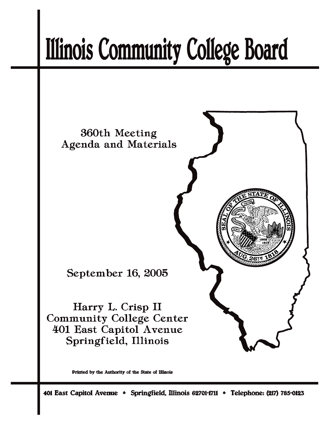# **Illinois Community College Board**



Printed by the Authority of the State of Illinois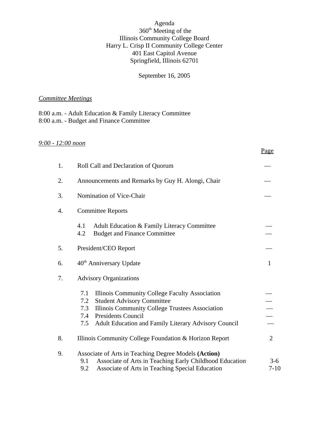# Agenda 360<sup>th</sup> Meeting of the Illinois Community College Board Harry L. Crisp II Community College Center 401 East Capitol Avenue Springfield, Illinois 62701

# September 16, 2005

# *Committee Meetings*

8:00 a.m. - Adult Education & Family Literacy Committee 8:00 a.m. - Budget and Finance Committee

# *9:00 - 12:00 noon*

|    |                                                                                                                                                                                                                                                                | Page              |
|----|----------------------------------------------------------------------------------------------------------------------------------------------------------------------------------------------------------------------------------------------------------------|-------------------|
| 1. | Roll Call and Declaration of Quorum                                                                                                                                                                                                                            |                   |
| 2. | Announcements and Remarks by Guy H. Alongi, Chair                                                                                                                                                                                                              |                   |
| 3. | Nomination of Vice-Chair                                                                                                                                                                                                                                       |                   |
| 4. | <b>Committee Reports</b>                                                                                                                                                                                                                                       |                   |
|    | 4.1<br>Adult Education & Family Literacy Committee<br>4.2<br><b>Budget and Finance Committee</b>                                                                                                                                                               |                   |
| 5. | President/CEO Report                                                                                                                                                                                                                                           |                   |
| 6. | 40 <sup>th</sup> Anniversary Update                                                                                                                                                                                                                            | $\mathbf{1}$      |
| 7. | <b>Advisory Organizations</b>                                                                                                                                                                                                                                  |                   |
|    | 7.1<br>Illinois Community College Faculty Association<br><b>Student Advisory Committee</b><br>7.2<br>Illinois Community College Trustees Association<br>7.3<br><b>Presidents Council</b><br>7.4<br>Adult Education and Family Literary Advisory Council<br>7.5 |                   |
| 8. | Illinois Community College Foundation & Horizon Report                                                                                                                                                                                                         | $\overline{2}$    |
| 9. | Associate of Arts in Teaching Degree Models (Action)<br>Associate of Arts in Teaching Early Childhood Education<br>9.1<br>Associate of Arts in Teaching Special Education<br>9.2                                                                               | $3-6$<br>$7 - 10$ |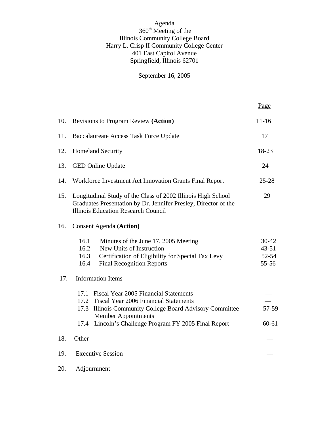# Agenda 360<sup>th</sup> Meeting of the Illinois Community College Board Harry L. Crisp II Community College Center 401 East Capitol Avenue Springfield, Illinois 62701

# September 16, 2005

Page

| 10. | <b>Revisions to Program Review (Action)</b>                                                                                                                                                                                                    | $11 - 16$                                |
|-----|------------------------------------------------------------------------------------------------------------------------------------------------------------------------------------------------------------------------------------------------|------------------------------------------|
| 11. | <b>Baccalaureate Access Task Force Update</b>                                                                                                                                                                                                  | 17                                       |
| 12. | <b>Homeland Security</b>                                                                                                                                                                                                                       | 18-23                                    |
| 13. | <b>GED Online Update</b>                                                                                                                                                                                                                       | 24                                       |
| 14. | Workforce Investment Act Innovation Grants Final Report                                                                                                                                                                                        | $25 - 28$                                |
| 15. | Longitudinal Study of the Class of 2002 Illinois High School<br>Graduates Presentation by Dr. Jennifer Presley, Director of the<br><b>Illinois Education Research Council</b>                                                                  |                                          |
| 16. | <b>Consent Agenda (Action)</b>                                                                                                                                                                                                                 |                                          |
|     | 16.1<br>Minutes of the June 17, 2005 Meeting<br>16.2<br>New Units of Instruction<br>Certification of Eligibility for Special Tax Levy<br>16.3<br><b>Final Recognition Reports</b><br>16.4                                                      | $30 - 42$<br>$43 - 51$<br>52-54<br>55-56 |
| 17. | <b>Information Items</b>                                                                                                                                                                                                                       |                                          |
|     | 17.1 Fiscal Year 2005 Financial Statements<br>17.2 Fiscal Year 2006 Financial Statements<br>17.3 Illinois Community College Board Advisory Committee<br><b>Member Appointments</b><br>Lincoln's Challenge Program FY 2005 Final Report<br>17.4 | 57-59<br>$60 - 61$                       |
| 18. | Other                                                                                                                                                                                                                                          |                                          |
| 19. | <b>Executive Session</b>                                                                                                                                                                                                                       |                                          |
| 20. | Adjournment                                                                                                                                                                                                                                    |                                          |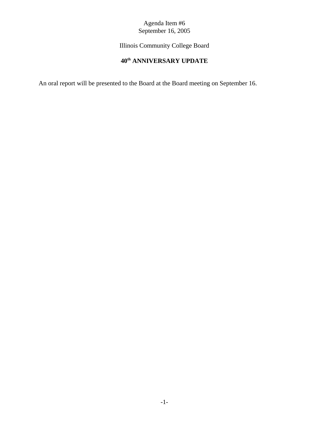Illinois Community College Board

# **40th ANNIVERSARY UPDATE**

An oral report will be presented to the Board at the Board meeting on September 16.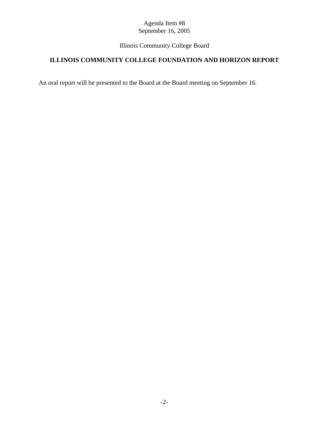# Illinois Community College Board

# **ILLINOIS COMMUNITY COLLEGE FOUNDATION AND HORIZON REPORT**

An oral report will be presented to the Board at the Board meeting on September 16.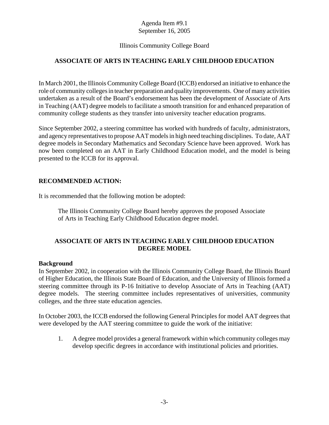# Illinois Community College Board

# **ASSOCIATE OF ARTS IN TEACHING EARLY CHILDHOOD EDUCATION**

In March 2001, the Illinois Community College Board (ICCB) endorsed an initiative to enhance the role of community colleges in teacher preparation and quality improvements. One of many activities undertaken as a result of the Board's endorsement has been the development of Associate of Arts in Teaching (AAT) degree models to facilitate a smooth transition for and enhanced preparation of community college students as they transfer into university teacher education programs.

Since September 2002, a steering committee has worked with hundreds of faculty, administrators, and agency representatives to propose AAT models in high need teaching disciplines. To date, AAT degree models in Secondary Mathematics and Secondary Science have been approved. Work has now been completed on an AAT in Early Childhood Education model, and the model is being presented to the ICCB for its approval.

#### **RECOMMENDED ACTION:**

It is recommended that the following motion be adopted:

The Illinois Community College Board hereby approves the proposed Associate of Arts in Teaching Early Childhood Education degree model.

# **ASSOCIATE OF ARTS IN TEACHING EARLY CHILDHOOD EDUCATION DEGREE MODEL**

#### **Background**

In September 2002, in cooperation with the Illinois Community College Board, the Illinois Board of Higher Education, the Illinois State Board of Education, and the University of Illinois formed a steering committee through its P-16 Initiative to develop Associate of Arts in Teaching (AAT) degree models. The steering committee includes representatives of universities, community colleges, and the three state education agencies.

In October 2003, the ICCB endorsed the following General Principles for model AAT degrees that were developed by the AAT steering committee to guide the work of the initiative:

1. A degree model provides a general framework within which community colleges may develop specific degrees in accordance with institutional policies and priorities.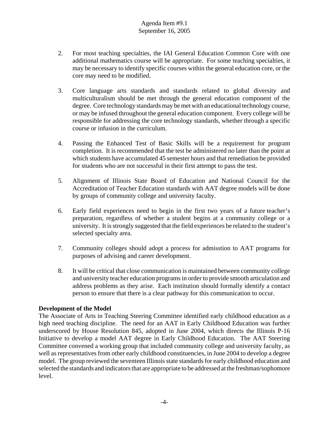- 2. For most teaching specialties, the IAI General Education Common Core with one additional mathematics course will be appropriate. For some teaching specialties, it may be necessary to identify specific courses within the general education core, or the core may need to be modified.
- 3. Core language arts standards and standards related to global diversity and multiculturalism should be met through the general education component of the degree. Core technology standards may be met with an educational technology course, or may be infused throughout the general education component. Every college will be responsible for addressing the core technology standards, whether through a specific course or infusion in the curriculum.
- 4. Passing the Enhanced Test of Basic Skills will be a requirement for program completion. It is recommended that the test be administered no later than the point at which students have accumulated 45 semester hours and that remediation be provided for students who are not successful in their first attempt to pass the test.
- 5. Alignment of Illinois State Board of Education and National Council for the Accreditation of Teacher Education standards with AAT degree models will be done by groups of community college and university faculty.
- 6. Early field experiences need to begin in the first two years of a future teacher's preparation, regardless of whether a student begins at a community college or a university. It is strongly suggested that the field experiences be related to the student's selected specialty area.
- 7. Community colleges should adopt a process for admisstion to AAT programs for purposes of advising and career development.
- 8. It will be critical that close communication is maintained between community college and university teacher education programs in order to provide smooth articulation and address problems as they arise. Each institution should formally identify a contact person to ensure that there is a clear pathway for this communication to occur.

# **Development of the Model**

The Associate of Arts in Teaching Steering Committee identified early childhood education as a high need teaching discipline. The need for an AAT in Early Childhood Education was further underscored by House Resolution 845, adopted in June 2004, which directs the Illinois P-16 Initiative to develop a model AAT degree in Early Childhood Education. The AAT Steering Committee convened a working group that included community college and university faculty, as well as representatives from other early childhood constituencies, in June 2004 to develop a degree model. The group reviewed the seventeen Illinois state standards for early childhood education and selected the standards and indicators that are appropriate to be addressed at the freshman/sophomore level.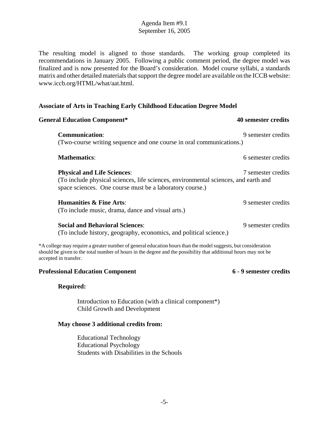The resulting model is aligned to those standards. The working group completed its recommendations in January 2005. Following a public comment period, the degree model was finalized and is now presented for the Board's consideration. Model course syllabi, a standards matrix and other detailed materials that support the degree model are available on the ICCB website: www.iccb.org/HTML/what/aat.html.

#### **Associate of Arts in Teaching Early Childhood Education Degree Model**

| <b>General Education Component*</b>                                                                                                                                                                                              | 40 semester credits |  |
|----------------------------------------------------------------------------------------------------------------------------------------------------------------------------------------------------------------------------------|---------------------|--|
| <b>Communication:</b><br>(Two-course writing sequence and one course in oral communications.)                                                                                                                                    | 9 semester credits  |  |
| <b>Mathematics:</b>                                                                                                                                                                                                              | 6 semester credits  |  |
| <b>Physical and Life Sciences:</b><br>(To include physical sciences, life sciences, environmental sciences, and earth and<br>space sciences. One course must be a laboratory course.)                                            | 7 semester credits  |  |
| <b>Humanities &amp; Fine Arts:</b><br>(To include music, drama, dance and visual arts.)                                                                                                                                          | 9 semester credits  |  |
| <b>Social and Behavioral Sciences:</b><br>(To include history, geography, economics, and political science.)                                                                                                                     | 9 semester credits  |  |
| *A college may require a greater number of general education hours than the model suggests, but consideration<br>should be given to the total number of hours in the degree and the possibility that additional hours may not be |                     |  |

#### **Professional Education Component 6 - 9 semester credits**

#### **Required:**

accepted in transfer.

Introduction to Education (with a clinical component\*) Child Growth and Development

#### **May choose 3 additional credits from:**

Educational Technology Educational Psychology Students with Disabilities in the Schools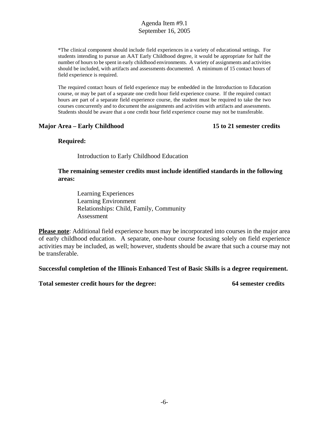\*The clinical component should include field experiences in a variety of educational settings. For students intending to pursue an AAT Early Childhood degree, it would be appropriate for half the number of hours to be spent in early childhood environments. A variety of assignments and activities should be included, with artifacts and assessments documented. A minimum of 15 contact hours of field experience is required.

The required contact hours of field experience may be embedded in the Introduction to Education course, or may be part of a separate one credit hour field experience course. If the required contact hours are part of a separate field experience course, the student must be required to take the two courses concurrently and to document the assignments and activities with artifacts and assessments. Students should be aware that a one credit hour field experience course may not be transferable.

#### **Major Area – Early Childhood 15 to 21 semester credits**

#### **Required:**

Introduction to Early Childhood Education

#### **The remaining semester credits must include identified standards in the following areas:**

Learning Experiences Learning Environment Relationships: Child, Family, Community Assessment

**Please note**: Additional field experience hours may be incorporated into courses in the major area of early childhood education. A separate, one-hour course focusing solely on field experience activities may be included, as well; however, students should be aware that such a course may not be transferable.

**Successful completion of the Illinois Enhanced Test of Basic Skills is a degree requirement.**

**Total semester credit hours for the degree: 64 semester credits**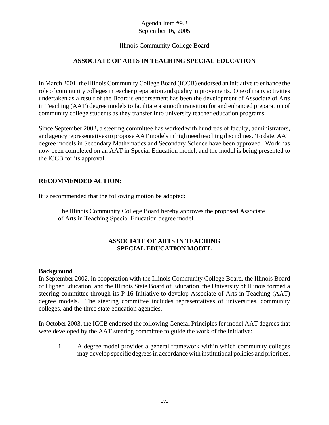# Illinois Community College Board

# **ASSOCIATE OF ARTS IN TEACHING SPECIAL EDUCATION**

In March 2001, the Illinois Community College Board (ICCB) endorsed an initiative to enhance the role of community colleges in teacher preparation and quality improvements. One of many activities undertaken as a result of the Board's endorsement has been the development of Associate of Arts in Teaching (AAT) degree models to facilitate a smooth transition for and enhanced preparation of community college students as they transfer into university teacher education programs.

Since September 2002, a steering committee has worked with hundreds of faculty, administrators, and agency representatives to propose AAT models in high need teaching disciplines. To date, AAT degree models in Secondary Mathematics and Secondary Science have been approved. Work has now been completed on an AAT in Special Education model, and the model is being presented to the ICCB for its approval.

#### **RECOMMENDED ACTION:**

It is recommended that the following motion be adopted:

The Illinois Community College Board hereby approves the proposed Associate of Arts in Teaching Special Education degree model.

# **ASSOCIATE OF ARTS IN TEACHING SPECIAL EDUCATION MODEL**

#### **Background**

In September 2002, in cooperation with the Illinois Community College Board, the Illinois Board of Higher Education, and the Illinois State Board of Education, the University of Illinois formed a steering committee through its P-16 Initiative to develop Associate of Arts in Teaching (AAT) degree models. The steering committee includes representatives of universities, community colleges, and the three state education agencies.

In October 2003, the ICCB endorsed the following General Principles for model AAT degrees that were developed by the AAT steering committee to guide the work of the initiative:

1. A degree model provides a general framework within which community colleges may develop specific degrees in accordance with institutional policies and priorities.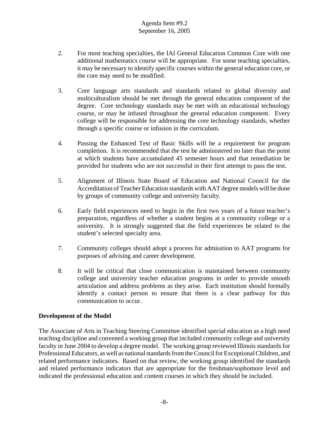- 2. For most teaching specialties, the IAI General Education Common Core with one additional mathematics course will be appropriate. For some teaching specialties, it may be necessary to identify specific courses within the general education core, or the core may need to be modified.
- 3. Core language arts standards and standards related to global diversity and multiculturalism should be met through the general education component of the degree. Core technology standards may be met with an educational technology course, or may be infused throughout the general education component. Every college will be responsible for addressing the core technology standards, whether through a specific course or infusion in the curriculum.
- 4. Passing the Enhanced Test of Basic Skills will be a requirement for program completion. It is recommended that the test be administered no later than the point at which students have accumulated 45 semester hours and that remediation be provided for students who are not successful in their first attempt to pass the test.
- 5. Alignment of Illinois State Board of Education and National Council for the Accreditation of Teacher Education standards with AAT degree models will be done by groups of community college and university faculty.
- 6. Early field experiences need to begin in the first two years of a future teacher's preparation, regardless of whether a student begins at a community college or a university. It is strongly suggested that the field experiences be related to the student's selected specialty area.
- 7. Community colleges should adopt a process for admisstion to AAT programs for purposes of advising and career development.
- 8. It will be critical that close communication is maintained between community college and university teacher education programs in order to provide smooth articulation and address problems as they arise. Each institution should formally identify a contact person to ensure that there is a clear pathway for this communication to occur.

# **Development of the Model**

The Associate of Arts in Teaching Steering Committee identified special education as a high need teaching discipline and convened a working group that included community college and university faculty in June 2004 to develop a degree model. The working group reviewed Illinois standards for Professional Educators, as well as national standards from the Council for Exceptional Children, and related performance indicators. Based on that review, the working group identified the standards and related performance indicators that are appropriate for the freshman/sophomore level and indicated the professional education and content courses in which they should be included.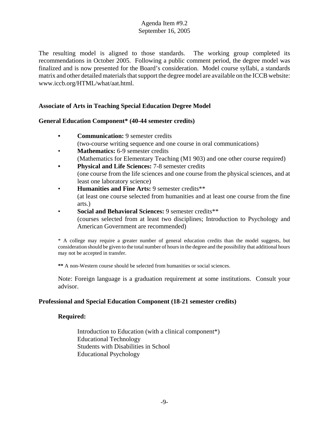The resulting model is aligned to those standards. The working group completed its recommendations in October 2005. Following a public comment period, the degree model was finalized and is now presented for the Board's consideration. Model course syllabi, a standards matrix and other detailed materials that support the degree model are available on the ICCB website: www.iccb.org/HTML/what/aat.html.

#### **Associate of Arts in Teaching Special Education Degree Model**

#### **General Education Component\* (40-44 semester credits)**

- **Communication:** 9 semester credits (two-course writing sequence and one course in oral communications)
- **Mathematics:** 6-9 semester credits (Mathematics for Elementary Teaching (M1 903) and one other course required)
- **Physical and Life Sciences:** 7-8 semester credits (one course from the life sciences and one course from the physical sciences, and at least one laboratory science)
- **Humanities and Fine Arts:** 9 semester credits\*\* (at least one course selected from humanities and at least one course from the fine arts.)
- **Social and Behavioral Sciences:** 9 semester credits\*\* (courses selected from at least two disciplines; Introduction to Psychology and American Government are recommended)

\* A college may require a greater number of general education credits than the model suggests, but consideration should be given to the total number of hours in the degree and the possibility that additional hours may not be accepted in transfer.

**\*\*** A non-Western course should be selected from humanities or social sciences.

Note: Foreign language is a graduation requirement at some institutions. Consult your advisor.

#### **Professional and Special Education Component (18-21 semester credits)**

#### **Required:**

Introduction to Education (with a clinical component\*) Educational Technology Students with Disabilities in School Educational Psychology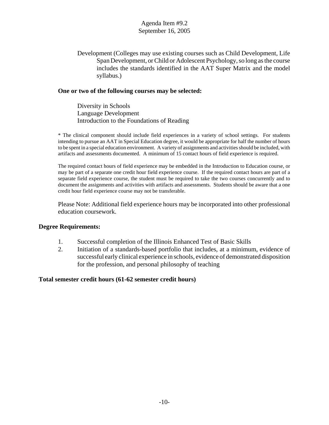Development (Colleges may use existing courses such as Child Development, Life Span Development, or Child or Adolescent Psychology, so long as the course includes the standards identified in the AAT Super Matrix and the model syllabus.)

#### **One or two of the following courses may be selected:**

Diversity in Schools Language Development Introduction to the Foundations of Reading

\* The clinical component should include field experiences in a variety of school settings. For students intending to pursue an AAT in Special Education degree, it would be appropriate for half the number of hours to be spent in a special education environment. A variety of assignments and activities should be included, with artifacts and assessments documented. A minimum of 15 contact hours of field experience is required.

The required contact hours of field experience may be embedded in the Introduction to Education course, or may be part of a separate one credit hour field experience course. If the required contact hours are part of a separate field experience course, the student must be required to take the two courses concurrently and to document the assignments and activities with artifacts and assessments. Students should be aware that a one credit hour field experience course may not be transferable.

Please Note: Additional field experience hours may be incorporated into other professional education coursework.

#### **Degree Requirements:**

- 1. Successful completion of the Illinois Enhanced Test of Basic Skills
- 2. Initiation of a standards-based portfolio that includes, at a minimum, evidence of successful early clinical experience in schools, evidence of demonstrated disposition for the profession, and personal philosophy of teaching

#### **Total semester credit hours (61-62 semester credit hours)**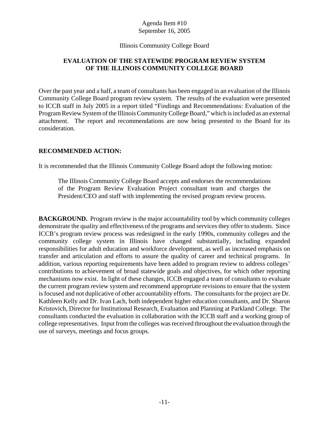#### Illinois Community College Board

# **EVALUATION OF THE STATEWIDE PROGRAM REVIEW SYSTEM OF THE ILLINOIS COMMUNITY COLLEGE BOARD**

Over the past year and a half, a team of consultants has been engaged in an evaluation of the Illinois Community College Board program review system. The results of the evaluation were presented to ICCB staff in July 2005 in a report titled "Findings and Recommendations: Evaluation of the Program Review System of the Illinois Community College Board," which is included as an external attachment. The report and recommendations are now being presented to the Board for its consideration.

# **RECOMMENDED ACTION:**

It is recommended that the Illinois Community College Board adopt the following motion:

The Illinois Community College Board accepts and endorses the recommendations of the Program Review Evaluation Project consultant team and charges the President/CEO and staff with implementing the revised program review process.

**BACKGROUND.** Program review is the major accountability tool by which community colleges demonstrate the quality and effectiveness of the programs and services they offer to students. Since ICCB's program review process was redesigned in the early 1990s, community colleges and the community college system in Illinois have changed substantially, including expanded responsibilities for adult education and workforce development, as well as increased emphasis on transfer and articulation and efforts to assure the quality of career and technical programs. In addition, various reporting requirements have been added to program review to address colleges' contributions to achievement of broad statewide goals and objectives, for which other reporting mechanisms now exist. In light of these changes, ICCB engaged a team of consultants to evaluate the current program review system and recommend appropriate revisions to ensure that the system is focused and not duplicative of other accountability efforts. The consultants for the project are Dr. Kathleen Kelly and Dr. Ivan Lach, both independent higher education consultants, and Dr. Sharon Kristovich, Director for Institutional Research, Evaluation and Planning at Parkland College. The consultants conducted the evaluation in collaboration with the ICCB staff and a working group of college representatives. Input from the colleges was received throughout the evaluation through the use of surveys, meetings and focus groups.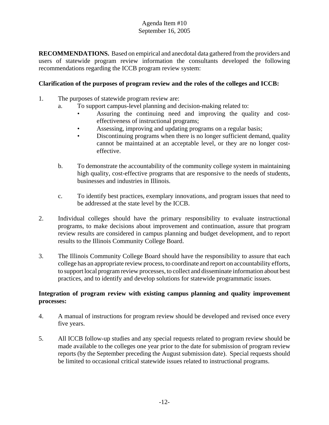**RECOMMENDATIONS.** Based on empirical and anecdotal data gathered from the providers and users of statewide program review information the consultants developed the following recommendations regarding the ICCB program review system:

# **Clarification of the purposes of program review and the roles of the colleges and ICCB:**

- 1. The purposes of statewide program review are:
	- a. To support campus-level planning and decision-making related to:
		- Assuring the continuing need and improving the quality and costeffectiveness of instructional programs;
		- Assessing, improving and updating programs on a regular basis;
		- Discontinuing programs when there is no longer sufficient demand, quality cannot be maintained at an acceptable level, or they are no longer costeffective.
	- b. To demonstrate the accountability of the community college system in maintaining high quality, cost-effective programs that are responsive to the needs of students, businesses and industries in Illinois.
	- c. To identify best practices, exemplary innovations, and program issues that need to be addressed at the state level by the ICCB.
- 2. Individual colleges should have the primary responsibility to evaluate instructional programs, to make decisions about improvement and continuation, assure that program review results are considered in campus planning and budget development, and to report results to the Illinois Community College Board.
- 3. The Illinois Community College Board should have the responsibility to assure that each college has an appropriate review process, to coordinate and report on accountability efforts, to support local program review processes, to collect and disseminate information about best practices, and to identify and develop solutions for statewide programmatic issues.

# **Integration of program review with existing campus planning and quality improvement processes:**

- 4. A manual of instructions for program review should be developed and revised once every five years.
- 5. All ICCB follow-up studies and any special requests related to program review should be made available to the colleges one year prior to the date for submission of program review reports (by the September preceding the August submission date). Special requests should be limited to occasional critical statewide issues related to instructional programs.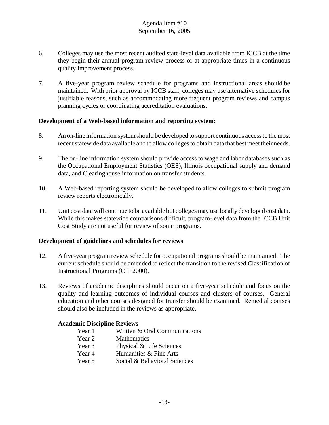- 6. Colleges may use the most recent audited state-level data available from ICCB at the time they begin their annual program review process or at appropriate times in a continuous quality improvement process.
- 7. A five-year program review schedule for programs and instructional areas should be maintained. With prior approval by ICCB staff, colleges may use alternative schedules for justifiable reasons, such as accommodating more frequent program reviews and campus planning cycles or coordinating accreditation evaluations.

# **Development of a Web-based information and reporting system:**

- 8. An on-line information system should be developed to support continuous access to the most recent statewide data available and to allow colleges to obtain data that best meet their needs.
- 9. The on-line information system should provide access to wage and labor databases such as the Occupational Employment Statistics (OES), Illinois occupational supply and demand data, and Clearinghouse information on transfer students.
- 10. A Web-based reporting system should be developed to allow colleges to submit program review reports electronically.
- 11. Unit cost data will continue to be available but colleges may use locally developed cost data. While this makes statewide comparisons difficult, program-level data from the ICCB Unit Cost Study are not useful for review of some programs.

#### **Development of guidelines and schedules for reviews**

- 12. A five-year program review schedule for occupational programs should be maintained. The current schedule should be amended to reflect the transition to the revised Classification of Instructional Programs (CIP 2000).
- 13. Reviews of academic disciplines should occur on a five-year schedule and focus on the quality and learning outcomes of individual courses and clusters of courses. General education and other courses designed for transfer should be examined. Remedial courses should also be included in the reviews as appropriate.

#### **Academic Discipline Reviews**

- Year 1 Written & Oral Communications
- Year 2 Mathematics
- Year 3 Physical & Life Sciences
- Year 4 Humanities & Fine Arts
- Year 5 Social & Behavioral Sciences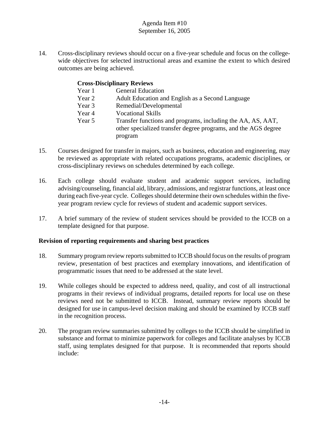14. Cross-disciplinary reviews should occur on a five-year schedule and focus on the collegewide objectives for selected instructional areas and examine the extent to which desired outcomes are being achieved.

#### **Cross-Disciplinary Reviews**

- Year 1 General Education
- Year 2 Adult Education and English as a Second Language
- Year 3 Remedial/Developmental
- Year 4 Vocational Skills
- Year 5 Transfer functions and programs, including the AA, AS, AAT, other specialized transfer degree programs, and the AGS degree program
- 15. Courses designed for transfer in majors, such as business, education and engineering, may be reviewed as appropriate with related occupations programs, academic disciplines, or cross-disciplinary reviews on schedules determined by each college.
- 16. Each college should evaluate student and academic support services, including advising/counseling, financial aid, library, admissions, and registrar functions, at least once during each five-year cycle. Colleges should determine their own schedules within the fiveyear program review cycle for reviews of student and academic support services.
- 17. A brief summary of the review of student services should be provided to the ICCB on a template designed for that purpose.

# **Revision of reporting requirements and sharing best practices**

- 18. Summary program review reports submitted to ICCB should focus on the results of program review, presentation of best practices and exemplary innovations, and identification of programmatic issues that need to be addressed at the state level.
- 19. While colleges should be expected to address need, quality, and cost of all instructional programs in their reviews of individual programs, detailed reports for local use on these reviews need not be submitted to ICCB. Instead, summary review reports should be designed for use in campus-level decision making and should be examined by ICCB staff in the recognition process.
- 20. The program review summaries submitted by colleges to the ICCB should be simplified in substance and format to minimize paperwork for colleges and facilitate analyses by ICCB staff, using templates designed for that purpose. It is recommended that reports should include: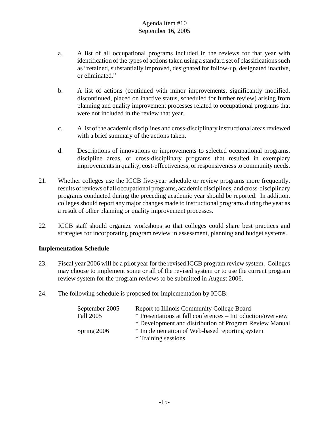- a. A list of all occupational programs included in the reviews for that year with identification of the types of actions taken using a standard set of classifications such as "retained, substantially improved, designated for follow-up, designated inactive, or eliminated."
- b. A list of actions (continued with minor improvements, significantly modified, discontinued, placed on inactive status, scheduled for further review) arising from planning and quality improvement processes related to occupational programs that were not included in the review that year.
- c. A list of the academic disciplines and cross-disciplinary instructional areas reviewed with a brief summary of the actions taken.
- d. Descriptions of innovations or improvements to selected occupational programs, discipline areas, or cross-disciplinary programs that resulted in exemplary improvements in quality, cost-effectiveness, or responsiveness to community needs.
- 21. Whether colleges use the ICCB five-year schedule or review programs more frequently, results of reviews of all occupational programs, academic disciplines, and cross-disciplinary programs conducted during the preceding academic year should be reported. In addition, colleges should report any major changes made to instructional programs during the year as a result of other planning or quality improvement processes.
- 22. ICCB staff should organize workshops so that colleges could share best practices and strategies for incorporating program review in assessment, planning and budget systems.

# **Implementation Schedule**

- 23. Fiscal year 2006 will be a pilot year for the revised ICCB program review system. Colleges may choose to implement some or all of the revised system or to use the current program review system for the program reviews to be submitted in August 2006.
- 24. The following schedule is proposed for implementation by ICCB:

| September 2005   | Report to Illinois Community College Board                  |
|------------------|-------------------------------------------------------------|
| <b>Fall 2005</b> | * Presentations at fall conferences – Introduction/overview |
|                  | * Development and distribution of Program Review Manual     |
| Spring 2006      | * Implementation of Web-based reporting system              |
|                  | * Training sessions                                         |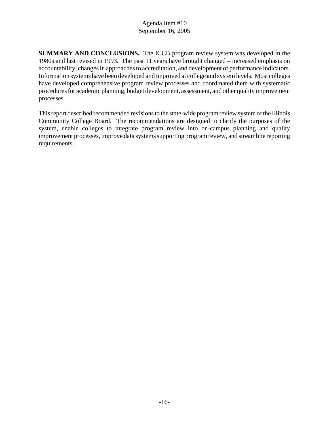**SUMMARY AND CONCLUSIONS.** The ICCB program review system was developed in the 1980s and last revised in 1993. The past 11 years have brought changed – increased emphasis on accountability, changes in approaches to accreditation, and development of performance indicators. Information systems have been developed and improved at college and system levels. Most colleges have developed comprehensive program review processes and coordinated them with systematic procedures for academic planning, budget development, assessment, and other quality improvement processes.

This report described recommended revisions to the state-wide program review system of the Illinois Community College Board. The recommendations are designed to clarify the purposes of the system, enable colleges to integrate program review into on-campus planning and quality improvement processes, improve data systems supporting program review, and streamline reporting requirements.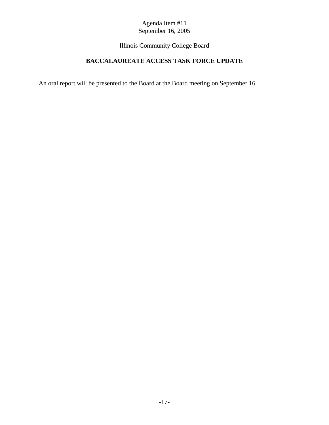Illinois Community College Board

# **BACCALAUREATE ACCESS TASK FORCE UPDATE**

An oral report will be presented to the Board at the Board meeting on September 16.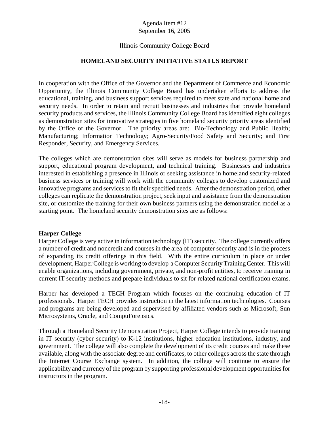# Illinois Community College Board

#### **HOMELAND SECURITY INITIATIVE STATUS REPORT**

In cooperation with the Office of the Governor and the Department of Commerce and Economic Opportunity, the Illinois Community College Board has undertaken efforts to address the educational, training, and business support services required to meet state and national homeland security needs. In order to retain and recruit businesses and industries that provide homeland security products and services, the Illinois Community College Board has identified eight colleges as demonstration sites for innovative strategies in five homeland security priority areas identified by the Office of the Governor. The priority areas are: Bio-Technology and Public Health; Manufacturing; Information Technology; Agro-Security/Food Safety and Security; and First Responder, Security, and Emergency Services.

The colleges which are demonstration sites will serve as models for business partnership and support, educational program development, and technical training. Businesses and industries interested in establishing a presence in Illinois or seeking assistance in homeland security-related business services or training will work with the community colleges to develop customized and innovative programs and services to fit their specified needs. After the demonstration period, other colleges can replicate the demonstration project, seek input and assistance from the demonstration site, or customize the training for their own business partners using the demonstration model as a starting point. The homeland security demonstration sites are as follows:

#### **Harper College**

Harper College is very active in information technology (IT) security. The college currently offers a number of credit and noncredit and courses in the area of computer security and is in the process of expanding its credit offerings in this field. With the entire curriculum in place or under development, Harper College is working to develop a Computer Security Training Center. This will enable organizations, including government, private, and non-profit entities, to receive training in current IT security methods and prepare individuals to sit for related national certification exams.

Harper has developed a TECH Program which focuses on the continuing education of IT professionals. Harper TECH provides instruction in the latest information technologies. Courses and programs are being developed and supervised by affiliated vendors such as Microsoft, Sun Microsystems, Oracle, and CompuForensics.

Through a Homeland Security Demonstration Project, Harper College intends to provide training in IT security (cyber security) to K-12 institutions, higher education institutions, industry, and government. The college will also complete the development of its credit courses and make these available, along with the associate degree and certificates, to other colleges across the state through the Internet Course Exchange system. In addition, the college will continue to ensure the applicability and currency of the program by supporting professional development opportunities for instructors in the program.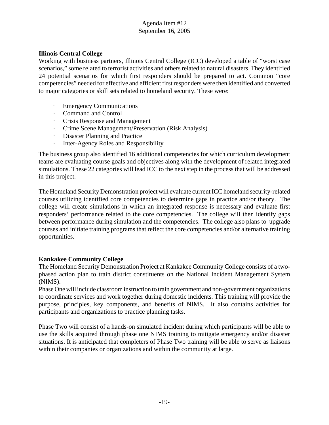# **Illinois Central College**

Working with business partners, Illinois Central College (ICC) developed a table of "worst case scenarios," some related to terrorist activities and others related to natural disasters. They identified 24 potential scenarios for which first responders should be prepared to act. Common "core competencies" needed for effective and efficient first responders were then identified and converted to major categories or skill sets related to homeland security. These were:

- · Emergency Communications
- · Command and Control
- · Crisis Response and Management
- · Crime Scene Management/Preservation (Risk Analysis)
- Disaster Planning and Practice
- · Inter-Agency Roles and Responsibility

The business group also identified 16 additional competencies for which curriculum development teams are evaluating course goals and objectives along with the development of related integrated simulations. These 22 categories will lead ICC to the next step in the process that will be addressed in this project.

The Homeland Security Demonstration project will evaluate current ICC homeland security-related courses utilizing identified core competencies to determine gaps in practice and/or theory. The college will create simulations in which an integrated response is necessary and evaluate first responders' performance related to the core competencies. The college will then identify gaps between performance during simulation and the competencies. The college also plans to upgrade courses and initiate training programs that reflect the core competencies and/or alternative training opportunities.

# **Kankakee Community College**

The Homeland Security Demonstration Project at Kankakee Community College consists of a twophased action plan to train district constituents on the National Incident Management System (NIMS).

Phase One will include classroom instruction to train government and non-government organizations to coordinate services and work together during domestic incidents. This training will provide the purpose, principles, key components, and benefits of NIMS. It also contains activities for participants and organizations to practice planning tasks.

Phase Two will consist of a hands-on simulated incident during which participants will be able to use the skills acquired through phase one NIMS training to mitigate emergency and/or disaster situations. It is anticipated that completers of Phase Two training will be able to serve as liaisons within their companies or organizations and within the community at large.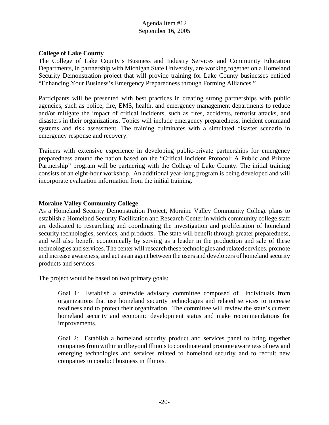#### **College of Lake County**

The College of Lake County's Business and Industry Services and Community Education Departments, in partnership with Michigan State University, are working together on a Homeland Security Demonstration project that will provide training for Lake County businesses entitled "Enhancing Your Business's Emergency Preparedness through Forming Alliances."

Participants will be presented with best practices in creating strong partnerships with public agencies, such as police, fire, EMS, health, and emergency management departments to reduce and/or mitigate the impact of critical incidents, such as fires, accidents, terrorist attacks, and disasters in their organizations. Topics will include emergency preparedness, incident command systems and risk assessment. The training culminates with a simulated disaster scenario in emergency response and recovery.

Trainers with extensive experience in developing public-private partnerships for emergency preparedness around the nation based on the "Critical Incident Protocol: A Public and Private Partnership" program will be partnering with the College of Lake County. The initial training consists of an eight-hour workshop. An additional year-long program is being developed and will incorporate evaluation information from the initial training.

#### **Moraine Valley Community College**

As a Homeland Security Demonstration Project, Moraine Valley Community College plans to establish a Homeland Security Facilitation and Research Center in which community college staff are dedicated to researching and coordinating the investigation and proliferation of homeland security technologies, services, and products. The state will benefit through greater preparedness, and will also benefit economically by serving as a leader in the production and sale of these technologies and services. The center will research these technologies and related services, promote and increase awareness, and act as an agent between the users and developers of homeland security products and services.

The project would be based on two primary goals:

Goal 1: Establish a statewide advisory committee composed of individuals from organizations that use homeland security technologies and related services to increase readiness and to protect their organization. The committee will review the state's current homeland security and economic development status and make recommendations for improvements.

Goal 2: Establish a homeland security product and services panel to bring together companies from within and beyond Illinois to coordinate and promote awareness of new and emerging technologies and services related to homeland security and to recruit new companies to conduct business in Illinois.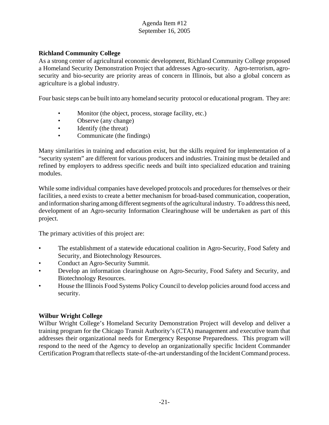# **Richland Community College**

As a strong center of agricultural economic development, Richland Community College proposed a Homeland Security Demonstration Project that addresses Agro-security. Agro-terrorism, agrosecurity and bio-security are priority areas of concern in Illinois, but also a global concern as agriculture is a global industry.

Four basic steps can be built into any homeland security protocol or educational program. They are:

- Monitor (the object, process, storage facility, etc.)
- Observe (any change)
- Identify (the threat)
- Communicate (the findings)

Many similarities in training and education exist, but the skills required for implementation of a "security system" are different for various producers and industries. Training must be detailed and refined by employers to address specific needs and built into specialized education and training modules.

While some individual companies have developed protocols and procedures for themselves or their facilities, a need exists to create a better mechanism for broad-based communication, cooperation, and information sharing among different segments of the agricultural industry. To address this need, development of an Agro-security Information Clearinghouse will be undertaken as part of this project.

The primary activities of this project are:

- The establishment of a statewide educational coalition in Agro-Security, Food Safety and Security, and Biotechnology Resources.
- Conduct an Agro-Security Summit.
- Develop an information clearinghouse on Agro-Security, Food Safety and Security, and Biotechnology Resources.
- House the Illinois Food Systems Policy Council to develop policies around food access and security.

# **Wilbur Wright College**

Wilbur Wright College's Homeland Security Demonstration Project will develop and deliver a training program for the Chicago Transit Authority's (CTA) management and executive team that addresses their organizational needs for Emergency Response Preparedness. This program will respond to the need of the Agency to develop an organizationally specific Incident Commander Certification Program that reflects state-of-the-art understanding of the Incident Command process.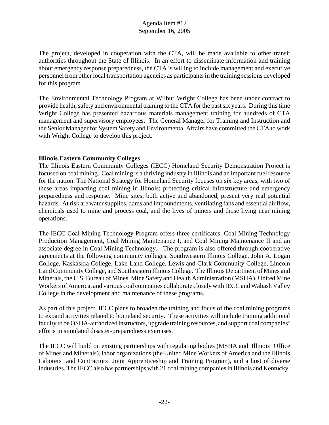The project, developed in cooperation with the CTA, will be made available to other transit authorities throughout the State of Illinois. In an effort to disseminate information and training about emergency response preparedness, the CTA is willing to include management and executive personnel from other local transportation agencies as participants in the training sessions developed for this program.

The Environmental Technology Program at Wilbur Wright College has been under contract to provide health, safety and environmental training to the CTA for the past six years. During this time Wright College has presented hazardous materials management training for hundreds of CTA management and supervisory employees. The General Manager for Training and Instruction and the Senior Manager for System Safety and Environmental Affairs have committed the CTA to work with Wright College to develop this project.

# **Illinois Eastern Community Colleges**

The Illinois Eastern Community Colleges (IECC) Homeland Security Demonstration Project is focused on coal mining. Coal mining is a thriving industry in Illinois and an important fuel resource for the nation. The National Strategy for Homeland Security focuses on six key areas, with two of these areas impacting coal mining in Illinois: protecting critical infrastructure and emergency preparedness and response. Mine sites, both active and abandoned, present very real potential hazards. At risk are water supplies, dams and impoundments, ventilating fans and essential air flow, chemicals used to mine and process coal, and the lives of miners and those living near mining operations.

The IECC Coal Mining Technology Program offers three certificates: Coal Mining Technology Production Management, Coal Mining Maintenance I, and Coal Mining Maintenance II and an associate degree in Coal Mining Technology. The program is also offered through cooperative agreements at the following community colleges: Southwestern Illinois College, John A. Logan College, Kaskaskia College, Lake Land College, Lewis and Clark Community College, Lincoln Land Community College, and Southeastern Illinois College. The Illinois Department of Mines and Minerals, the U.S. Bureau of Mines, Mine Safety and Health Administration (MSHA), United Mine Workers of America, and various coal companies collaborate closely with IECC and Wabash Valley College in the development and maintenance of these programs.

As part of this project, IECC plans to broaden the training and focus of the coal mining programs to expand activities related to homeland security. These activities will include training additional faculty to be OSHA-authorized instructors, upgrade training resources, and support coal companies' efforts in simulated disaster-preparedness exercises.

The IECC will build on existing partnerships with regulating bodies (MSHA and Illinois' Office of Mines and Minerals), labor organizations (the United Mine Workers of America and the Illinois Laborers' and Contractors' Joint Apprenticeship and Training Program), and a host of diverse industries. The IECC also has partnerships with 21 coal mining companies in Illinois and Kentucky.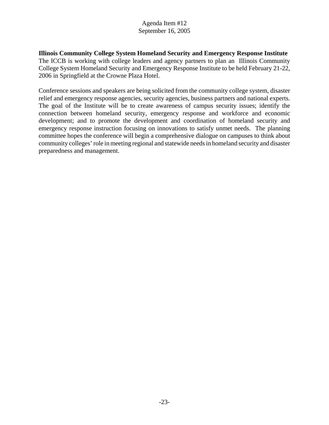**Illinois Community College System Homeland Security and Emergency Response Institute** The ICCB is working with college leaders and agency partners to plan an Illinois Community College System Homeland Security and Emergency Response Institute to be held February 21-22, 2006 in Springfield at the Crowne Plaza Hotel.

Conference sessions and speakers are being solicited from the community college system, disaster relief and emergency response agencies, security agencies, business partners and national experts. The goal of the Institute will be to create awareness of campus security issues; identify the connection between homeland security, emergency response and workforce and economic development; and to promote the development and coordination of homeland security and emergency response instruction focusing on innovations to satisfy unmet needs. The planning committee hopes the conference will begin a comprehensive dialogue on campuses to think about community colleges' role in meeting regional and statewide needs in homeland security and disaster preparedness and management.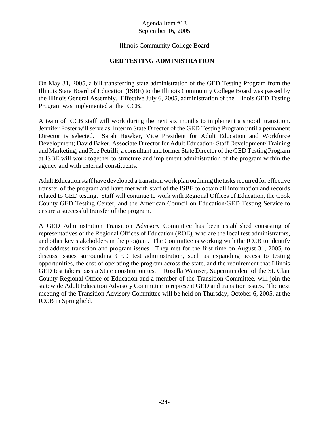# Illinois Community College Board

#### **GED TESTING ADMINISTRATION**

On May 31, 2005, a bill transferring state administration of the GED Testing Program from the Illinois State Board of Education (ISBE) to the Illinois Community College Board was passed by the Illinois General Assembly. Effective July 6, 2005, administration of the Illinois GED Testing Program was implemented at the ICCB.

A team of ICCB staff will work during the next six months to implement a smooth transition. Jennifer Foster will serve as Interim State Director of the GED Testing Program until a permanent Director is selected. Sarah Hawker, Vice President for Adult Education and Workforce Development; David Baker, Associate Director for Adult Education- Staff Development/ Training and Marketing; and Roz Petrilli, a consultant and former State Director of the GED Testing Program at ISBE will work together to structure and implement administration of the program within the agency and with external constituents.

Adult Education staff have developed a transition work plan outlining the tasks required for effective transfer of the program and have met with staff of the ISBE to obtain all information and records related to GED testing. Staff will continue to work with Regional Offices of Education, the Cook County GED Testing Center, and the American Council on Education/GED Testing Service to ensure a successful transfer of the program.

A GED Administration Transition Advisory Committee has been established consisting of representatives of the Regional Offices of Education (ROE), who are the local test administrators, and other key stakeholders in the program. The Committee is working with the ICCB to identify and address transition and program issues. They met for the first time on August 31, 2005, to discuss issues surrounding GED test administration, such as expanding access to testing opportunities, the cost of operating the program across the state, and the requirement that Illinois GED test takers pass a State constitution test. Rosella Wamser, Superintendent of the St. Clair County Regional Office of Education and a member of the Transition Committee, will join the statewide Adult Education Advisory Committee to represent GED and transition issues. The next meeting of the Transition Advisory Committee will be held on Thursday, October 6, 2005, at the ICCB in Springfield.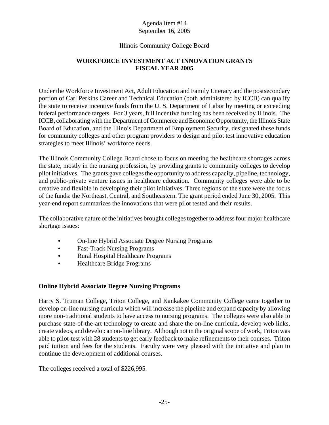# Illinois Community College Board

# **WORKFORCE INVESTMENT ACT INNOVATION GRANTS FISCAL YEAR 2005**

Under the Workforce Investment Act, Adult Education and Family Literacy and the postsecondary portion of Carl Perkins Career and Technical Education (both administered by ICCB) can qualify the state to receive incentive funds from the U. S. Department of Labor by meeting or exceeding federal performance targets. For 3 years, full incentive funding has been received by Illinois. The ICCB, collaborating with the Department of Commerce and Economic Opportunity, the Illinois State Board of Education, and the Illinois Department of Employment Security, designated these funds for community colleges and other program providers to design and pilot test innovative education strategies to meet Illinois' workforce needs.

The Illinois Community College Board chose to focus on meeting the healthcare shortages across the state, mostly in the nursing profession, by providing grants to community colleges to develop pilot initiatives. The grants gave colleges the opportunity to address capacity, pipeline, technology, and public-private venture issues in healthcare education. Community colleges were able to be creative and flexible in developing their pilot initiatives. Three regions of the state were the focus of the funds: the Northeast, Central, and Southeastern. The grant period ended June 30, 2005. This year-end report summarizes the innovations that were pilot tested and their results.

The collaborative nature of the initiatives brought colleges together to address four major healthcare shortage issues:

- On-line Hybrid Associate Degree Nursing Programs
- Fast-Track Nursing Programs
- Rural Hospital Healthcare Programs
- Healthcare Bridge Programs

# **Online Hybrid Associate Degree Nursing Programs**

Harry S. Truman College, Triton College, and Kankakee Community College came together to develop on-line nursing curricula which will increase the pipeline and expand capacity by allowing more non-traditional students to have access to nursing programs. The colleges were also able to purchase state-of-the-art technology to create and share the on-line curricula, develop web links, create videos, and develop an on-line library. Although not in the original scope of work, Triton was able to pilot-test with 28 students to get early feedback to make refinements to their courses. Triton paid tuition and fees for the students. Faculty were very pleased with the initiative and plan to continue the development of additional courses.

The colleges received a total of \$226,995.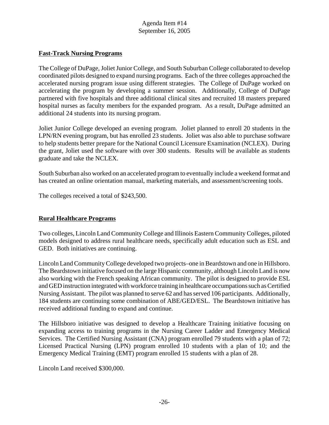#### **Fast-Track Nursing Programs**

The College of DuPage, Joliet Junior College, and South Suburban College collaborated to develop coordinated pilots designed to expand nursing programs. Each of the three colleges approached the accelerated nursing program issue using different strategies. The College of DuPage worked on accelerating the program by developing a summer session. Additionally, College of DuPage partnered with five hospitals and three additional clinical sites and recruited 18 masters prepared hospital nurses as faculty members for the expanded program. As a result, DuPage admitted an additional 24 students into its nursing program.

Joliet Junior College developed an evening program. Joliet planned to enroll 20 students in the LPN/RN evening program, but has enrolled 23 students. Joliet was also able to purchase software to help students better prepare for the National Council Licensure Examination (NCLEX). During the grant, Joliet used the software with over 300 students. Results will be available as students graduate and take the NCLEX.

South Suburban also worked on an accelerated program to eventually include a weekend format and has created an online orientation manual, marketing materials, and assessment/screening tools.

The colleges received a total of \$243,500.

# **Rural Healthcare Programs**

Two colleges, Lincoln Land Community College and Illinois Eastern Community Colleges, piloted models designed to address rural healthcare needs, specifically adult education such as ESL and GED. Both initiatives are continuing.

Lincoln Land Community College developed two projects–one in Beardstown and one in Hillsboro. The Beardstown initiative focused on the large Hispanic community, although Lincoln Land is now also working with the French speaking African community. The pilot is designed to provide ESL and GED instruction integrated with workforce training in healthcare occumpations such as Certified Nursing Assistant. The pilot was planned to serve 62 and has served 106 participants. Additionally, 184 students are continuing some combination of ABE/GED/ESL. The Beardstown initiative has received additional funding to expand and continue.

The Hillsboro initiative was designed to develop a Healthcare Training initiative focusing on expanding access to training programs in the Nursing Career Ladder and Emergency Medical Services. The Certified Nursing Assistant (CNA) program enrolled 79 students with a plan of 72; Licensed Practical Nursing (LPN) program enrolled 10 students with a plan of 10; and the Emergency Medical Training (EMT) program enrolled 15 students with a plan of 28.

Lincoln Land received \$300,000.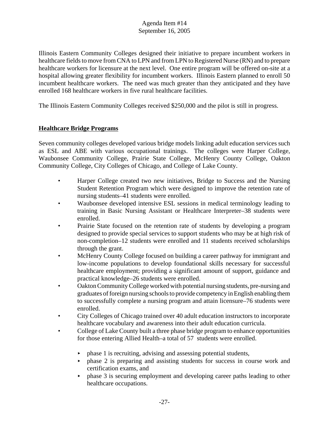Illinois Eastern Community Colleges designed their initiative to prepare incumbent workers in healthcare fields to move from CNA to LPN and from LPN to Registered Nurse (RN) and to prepare healthcare workers for licensure at the next level. One entire program will be offered on-site at a hospital allowing greater flexibility for incumbent workers. Illinois Eastern planned to enroll 50 incumbent healthcare workers. The need was much greater than they anticipated and they have enrolled 168 healthcare workers in five rural healthcare facilities.

The Illinois Eastern Community Colleges received \$250,000 and the pilot is still in progress.

# **Healthcare Bridge Programs**

Seven community colleges developed various bridge models linking adult education services such as ESL and ABE with various occupational trainings. The colleges were Harper College, Waubonsee Community College, Prairie State College, McHenry County College, Oakton Community College, City Colleges of Chicago, and College of Lake County.

- Harper College created two new initiatives, Bridge to Success and the Nursing Student Retention Program which were designed to improve the retention rate of nursing students–41 students were enrolled.
- Waubonsee developed intensive ESL sessions in medical terminology leading to training in Basic Nursing Assistant or Healthcare Interpreter–38 students were enrolled.
- Prairie State focused on the retention rate of students by developing a program designed to provide special services to support students who may be at high risk of non-completion–12 students were enrolled and 11 students received scholarships through the grant.
- McHenry County College focused on building a career pathway for immigrant and low-income populations to develop foundational skills necessary for successful healthcare employment; providing a significant amount of support, guidance and practical knowledge–26 students were enrolled.
- Oakton Community College worked with potential nursing students, pre-nursing and graduates of foreign nursing schools to provide competency in English enabling them to successfully complete a nursing program and attain licensure–76 students were enrolled.
- City Colleges of Chicago trained over 40 adult education instructors to incorporate healthcare vocabulary and awareness into their adult education curricula.
- College of Lake County built a three phase bridge program to enhance opportunities for those entering Allied Health–a total of 57 students were enrolled.
	- $\rightarrow$  phase 1 is recruiting, advising and assessing potential students,
	- $\rightarrow$  phase 2 is preparing and assisting students for success in course work and certification exams, and
	- $\rightarrow$  phase 3 is securing employment and developing career paths leading to other healthcare occupations.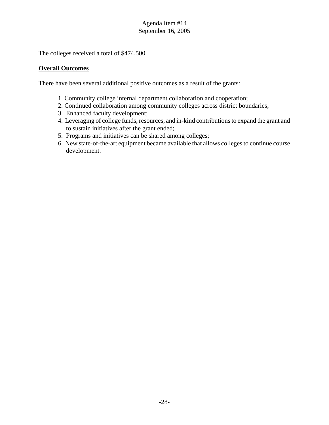The colleges received a total of \$474,500.

# **Overall Outcomes**

There have been several additional positive outcomes as a result of the grants:

- 1. Community college internal department collaboration and cooperation;
- 2. Continued collaboration among community colleges across district boundaries;
- 3. Enhanced faculty development;
- 4. Leveraging of college funds, resources, and in-kind contributions to expand the grant and to sustain initiatives after the grant ended;
- 5. Programs and initiatives can be shared among colleges;
- 6. New state-of-the-art equipment became available that allows colleges to continue course development.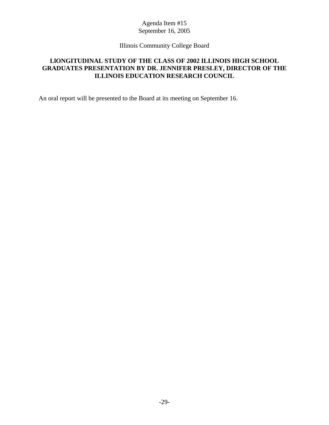# Illinois Community College Board

# **LlONGITUDINAL STUDY OF THE CLASS OF 2002 ILLINOIS HIGH SCHOOL GRADUATES PRESENTATION BY DR. JENNIFER PRESLEY, DIRECTOR OF THE ILLINOIS EDUCATION RESEARCH COUNCIL**

An oral report will be presented to the Board at its meeting on September 16.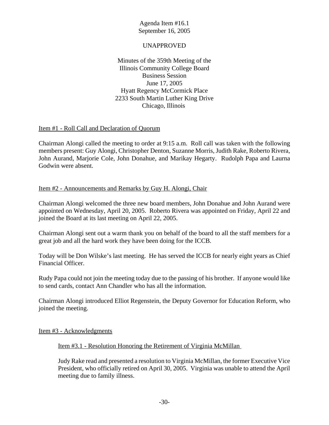#### UNAPPROVED

Minutes of the 359th Meeting of the Illinois Community College Board Business Session June 17, 2005 Hyatt Regency McCormick Place 2233 South Martin Luther King Drive Chicago, Illinois

#### Item #1 - Roll Call and Declaration of Quorum

Chairman Alongi called the meeting to order at 9:15 a.m. Roll call was taken with the following members present: Guy Alongi, Christopher Denton, Suzanne Morris, Judith Rake, Roberto Rivera, John Aurand, Marjorie Cole, John Donahue, and Marikay Hegarty. Rudolph Papa and Laurna Godwin were absent.

# Item #2 - Announcements and Remarks by Guy H. Alongi, Chair

Chairman Alongi welcomed the three new board members, John Donahue and John Aurand were appointed on Wednesday, April 20, 2005. Roberto Rivera was appointed on Friday, April 22 and joined the Board at its last meeting on April 22, 2005.

Chairman Alongi sent out a warm thank you on behalf of the board to all the staff members for a great job and all the hard work they have been doing for the ICCB.

Today will be Don Wilske's last meeting. He has served the ICCB for nearly eight years as Chief Financial Officer.

Rudy Papa could not join the meeting today due to the passing of his brother. If anyone would like to send cards, contact Ann Chandler who has all the information.

Chairman Alongi introduced Elliot Regenstein, the Deputy Governor for Education Reform, who joined the meeting.

Item #3 - Acknowledgments

Item #3.1 - Resolution Honoring the Retirement of Virginia McMillan

Judy Rake read and presented a resolution to Virginia McMillan, the former Executive Vice President, who officially retired on April 30, 2005. Virginia was unable to attend the April meeting due to family illness.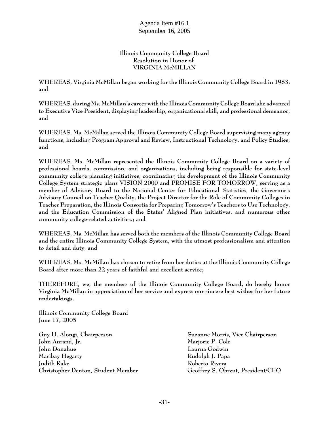#### **Illinois Community College Board Resolution in Honor of VIRGINIA McMILLAN**

**WHEREAS, Virginia McMillan began working for the Illinois Community College Board in 1983; and**

**WHEREAS, during Ms. McMillan's career with the Illinois Community College Board she advanced to Executive Vice President, displaying leadership, organizational skill, and professional demeanor; and** 

**WHEREAS, Ms. McMillan served the Illinois Community College Board supervising many agency functions, including Program Approval and Review, Instructional Technology, and Policy Studies; and**

**WHEREAS, Ms. McMillan represented the Illinois Community College Board on a variety of professional boards, commission, and organizations, including being responsible for state-level community college planning initiatives, coordinating the development of the Illinois Community College System strategic plans VISION 2000 and PROMISE FOR TOMORROW, serving as a member of Advisory Board to the National Center for Educational Statistics, the Governor's Advisory Council on Teacher Quality, the Project Director for the Role of Community Colleges in Teacher Preparation, the Illinois Consortia for Preparing Tomorrow's Teachers to Use Technology, and the Education Commission of the States' Aligned Plan initiatives, and numerous other community college-related activities.; and** 

**WHEREAS, Ms. McMillan has served both the members of the Illinois Community College Board and the entire Illinois Community College System, with the utmost professionalism and attention to detail and duty; and**

**WHEREAS, Ms. McMillan has chosen to retire from her duties at the Illinois Community College Board after more than 22 years of faithful and excellent service;**

**THEREFORE, we, the members of the Illinois Community College Board, do hereby honor Virginia McMillan in appreciation of her service and express our sincere best wishes for her future undertakings.**

**Illinois Community College Board June 17, 2005**

**Guy H. Alongi, Chairperson Suzanne Morris, Vice Chairperson John Aurand, Jr. Marjorie P. Cole John Donahue Laurna Godwin Marikay Hegarty Rudolph J. Papa Judith Rake Roberto Rivera Christopher Denton, Student Member Geoffrey S. Obrzut, President/CEO**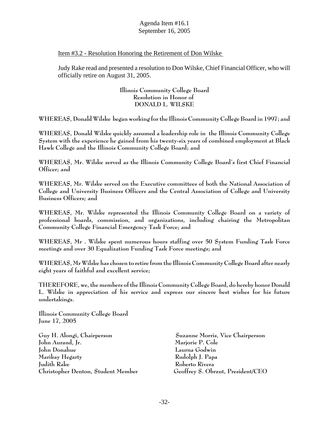#### Item #3.2 - Resolution Honoring the Retirement of Don Wilske

Judy Rake read and presented a resolution to Don Wilske, Chief Financial Officer, who will officially retire on August 31, 2005.

#### **Illinois Community College Board Resolution in Honor of DONALD L. WILSKE**

**WHEREAS, Donald Wilske began working for the Illinois Community College Board in 1997; and**

**WHEREAS, Donald Wilske quickly assumed a leadership role in the Illinois Community College System with the experience he gained from his twenty-six years of combined employment at Black Hawk College and the Illinois Community College Board; and**

**WHEREAS, Mr. Wilske served as the Illinois Community College Board's first Chief Financial Officer; and** 

**WHEREAS, Mr. Wilske served on the Executive committees of both the National Association of College and University Business Officers and the Central Association of College and University Business Officers; and**

**WHEREAS, Mr. Wilske represented the Illinois Community College Board on a variety of professional boards, commission, and organizations, including chairing the Metropolitan Community College Financial Emergency Task Force; and** 

**WHEREAS, Mr . Wilske spent numerous hours staffing over 50 System Funding Task Force meetings and over 30 Equalization Funding Task Force meetings; and**

**WHEREAS, Mr Wilske has chosen to retire from the Illinois Community College Board after nearly eight years of faithful and excellent service;**

**THEREFORE, we, the members of the Illinois Community College Board, do hereby honor Donald L. Wilske in appreciation of his service and express our sincere best wishes for his future undertakings.**

**Illinois Community College Board June 17, 2005**

**Guy H. Alongi, Chairperson Suzanne Morris, Vice Chairperson John Aurand, Jr. Marjorie P. Cole John Donahue Laurna Godwin Marikay Hegarty Rudolph J. Papa Judith Rake Roberto Rivera Christopher Denton, Student Member Geoffrey S. Obrzut, President/CEO**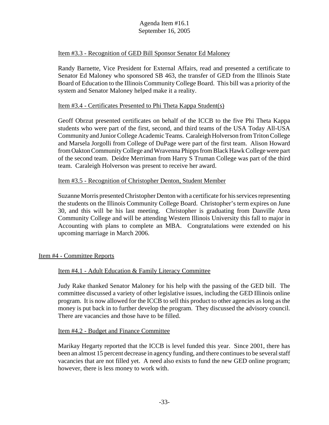#### Item #3.3 - Recognition of GED Bill Sponsor Senator Ed Maloney

Randy Barnette, Vice President for External Affairs, read and presented a certificate to Senator Ed Maloney who sponsored SB 463, the transfer of GED from the Illinois State Board of Education to the Illinois Community College Board. This bill was a priority of the system and Senator Maloney helped make it a reality.

#### Item #3.4 - Certificates Presented to Phi Theta Kappa Student(s)

Geoff Obrzut presented certificates on behalf of the ICCB to the five Phi Theta Kappa students who were part of the first, second, and third teams of the USA Today All-USA Community and Junior College Academic Teams. Caraleigh Holverson from Triton College and Marsela Jorgolli from College of DuPage were part of the first team. Alison Howard from Oakton Community College and Wravenna Phipps from Black Hawk College were part of the second team. Deidre Merriman from Harry S Truman College was part of the third team. Caraleigh Holverson was present to receive her award.

#### Item #3.5 - Recognition of Christopher Denton, Student Member

Suzanne Morris presented Christopher Denton with a certificate for his services representing the students on the Illinois Community College Board. Christopher's term expires on June 30, and this will be his last meeting. Christopher is graduating from Danville Area Community College and will be attending Western Illinois University this fall to major in Accounting with plans to complete an MBA. Congratulations were extended on his upcoming marriage in March 2006.

# Item #4 - Committee Reports

# Item #4.1 - Adult Education & Family Literacy Committee

Judy Rake thanked Senator Maloney for his help with the passing of the GED bill. The committee discussed a variety of other legislative issues, including the GED Illinois online program. It is now allowed for the ICCB to sell this product to other agencies as long as the money is put back in to further develop the program. They discussed the advisory council. There are vacancies and those have to be filled.

#### Item #4.2 - Budget and Finance Committee

Marikay Hegarty reported that the ICCB is level funded this year. Since 2001, there has been an almost 15 percent decrease in agency funding, and there continues to be several staff vacancies that are not filled yet. A need also exists to fund the new GED online program; however, there is less money to work with.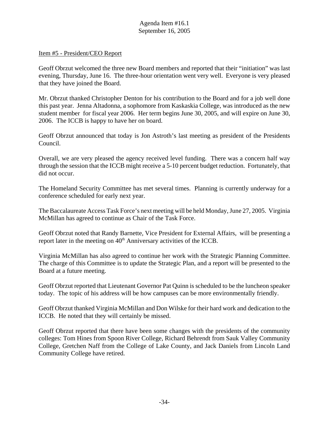#### Item #5 - President/CEO Report

Geoff Obrzut welcomed the three new Board members and reported that their "initiation" was last evening, Thursday, June 16. The three-hour orientation went very well. Everyone is very pleased that they have joined the Board.

Mr. Obrzut thanked Christopher Denton for his contribution to the Board and for a job well done this past year. Jenna Altadonna, a sophomore from Kaskaskia College, was introduced as the new student member for fiscal year 2006. Her term begins June 30, 2005, and will expire on June 30, 2006. The ICCB is happy to have her on board.

Geoff Obrzut announced that today is Jon Astroth's last meeting as president of the Presidents Council.

Overall, we are very pleased the agency received level funding. There was a concern half way through the session that the ICCB might receive a 5-10 percent budget reduction. Fortunately, that did not occur.

The Homeland Security Committee has met several times. Planning is currently underway for a conference scheduled for early next year.

The Baccalaureate Access Task Force's next meeting will be held Monday, June 27, 2005. Virginia McMillan has agreed to continue as Chair of the Task Force.

Geoff Obrzut noted that Randy Barnette, Vice President for External Affairs, will be presenting a report later in the meeting on  $40<sup>th</sup>$  Anniversary activities of the ICCB.

Virginia McMillan has also agreed to continue her work with the Strategic Planning Committee. The charge of this Committee is to update the Strategic Plan, and a report will be presented to the Board at a future meeting.

Geoff Obrzut reported that Lieutenant Governor Pat Quinn is scheduled to be the luncheon speaker today. The topic of his address will be how campuses can be more environmentally friendly.

Geoff Obrzut thanked Virginia McMillan and Don Wilske for their hard work and dedication to the ICCB. He noted that they will certainly be missed.

Geoff Obrzut reported that there have been some changes with the presidents of the community colleges: Tom Hines from Spoon River College, Richard Behrendt from Sauk Valley Community College, Gretchen Naff from the College of Lake County, and Jack Daniels from Lincoln Land Community College have retired.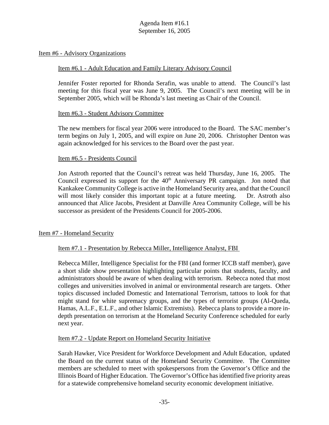#### Item #6 - Advisory Organizations

#### Item #6.1 - Adult Education and Family Literary Advisory Council

Jennifer Foster reported for Rhonda Serafin, was unable to attend. The Council's last meeting for this fiscal year was June 9, 2005. The Council's next meeting will be in September 2005, which will be Rhonda's last meeting as Chair of the Council.

#### Item #6.3 - Student Advisory Committee

The new members for fiscal year 2006 were introduced to the Board. The SAC member's term begins on July 1, 2005, and will expire on June 20, 2006. Christopher Denton was again acknowledged for his services to the Board over the past year.

#### Item #6.5 - Presidents Council

Jon Astroth reported that the Council's retreat was held Thursday, June 16, 2005. The Council expressed its support for the  $40<sup>th</sup>$  Anniversary PR campaign. Jon noted that Kankakee Community College is active in the Homeland Security area, and that the Council will most likely consider this important topic at a future meeting. Dr. Astroth also announced that Alice Jacobs, President at Danville Area Community College, will be his successor as president of the Presidents Council for 2005-2006.

#### Item #7 - Homeland Security

#### Item #7.1 - Presentation by Rebecca Miller, Intelligence Analyst, FBI

Rebecca Miller, Intelligence Specialist for the FBI (and former ICCB staff member), gave a short slide show presentation highlighting particular points that students, faculty, and administrators should be aware of when dealing with terrorism. Rebecca noted that most colleges and universities involved in animal or environmental research are targets. Other topics discussed included Domestic and International Terrorism, tattoos to look for that might stand for white supremacy groups, and the types of terrorist groups (Al-Queda, Hamas, A.L.F., E.L.F., and other Islamic Extremists). Rebecca plans to provide a more indepth presentation on terrorism at the Homeland Security Conference scheduled for early next year.

#### Item #7.2 - Update Report on Homeland Security Initiative

Sarah Hawker, Vice President for Workforce Development and Adult Education, updated the Board on the current status of the Homeland Security Committee. The Committee members are scheduled to meet with spokespersons from the Governor's Office and the Illinois Board of Higher Education. The Governor's Office has identified five priority areas for a statewide comprehensive homeland security economic development initiative.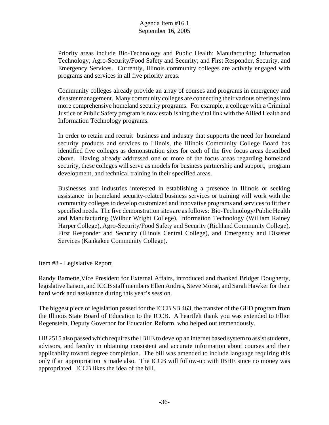Priority areas include Bio-Technology and Public Health; Manufacturing; Information Technology; Agro-Security/Food Safety and Security; and First Responder, Security, and Emergency Services. Currently, Illinois community colleges are actively engaged with programs and services in all five priority areas.

Community colleges already provide an array of courses and programs in emergency and disaster management. Many community colleges are connecting their various offerings into more comprehensive homeland security programs. For example, a college with a Criminal Justice or Public Safety program is now establishing the vital link with the Allied Health and Information Technology programs.

In order to retain and recruit business and industry that supports the need for homeland security products and services to Illinois, the Illinois Community College Board has identified five colleges as demonstration sites for each of the five focus areas described above. Having already addressed one or more of the focus areas regarding homeland security, these colleges will serve as models for business partnership and support, program development, and technical training in their specified areas.

Businesses and industries interested in establishing a presence in Illinois or seeking assistance in homeland security-related business services or training will work with the community colleges to develop customized and innovative programs and services to fit their specified needs. The five demonstration sites are as follows: Bio-Technology/Public Health and Manufacturing (Wilbur Wright College), Information Technology (William Rainey Harper College), Agro-Security/Food Safety and Security (Richland Community College), First Responder and Security (Illinois Central College), and Emergency and Disaster Services (Kankakee Community College).

#### Item #8 - Legislative Report

Randy Barnette,Vice President for External Affairs, introduced and thanked Bridget Dougherty, legislative liaison, and ICCB staff members Ellen Andres, Steve Morse, and Sarah Hawker for their hard work and assistance during this year's session.

The biggest piece of legislation passed for the ICCB SB 463, the transfer of the GED program from the Illinois State Board of Education to the ICCB. A heartfelt thank you was extended to Elliot Regenstein, Deputy Governor for Education Reform, who helped out tremendously.

HB 2515 also passed which requires the IBHE to develop an internet based system to assist students, advisors, and faculty in obtaining consistent and accurate information about courses and their applicabilty toward degree completion. The bill was amended to include language requiring this only if an appropriation is made also. The ICCB will follow-up with IBHE since no money was appropriated. ICCB likes the idea of the bill.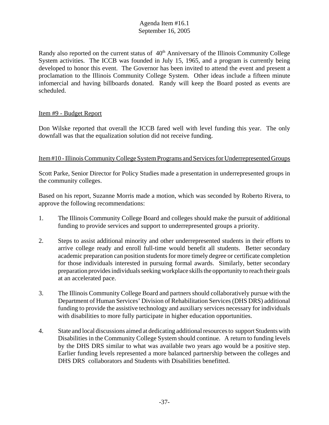Randy also reported on the current status of  $40<sup>th</sup>$  Anniversary of the Illinois Community College System activities. The ICCB was founded in July 15, 1965, and a program is currently being developed to honor this event. The Governor has been invited to attend the event and present a proclamation to the Illinois Community College System. Other ideas include a fifteen minute infomercial and having billboards donated. Randy will keep the Board posted as events are scheduled.

# Item #9 - Budget Report

Don Wilske reported that overall the ICCB fared well with level funding this year. The only downfall was that the equalization solution did not receive funding.

#### Item #10 - Illinois Community College System Programs and Services for Underrepresented Groups

Scott Parke, Senior Director for Policy Studies made a presentation in underrepresented groups in the community colleges.

Based on his report, Suzanne Morris made a motion, which was seconded by Roberto Rivera, to approve the following recommendations:

- 1. The Illinois Community College Board and colleges should make the pursuit of additional funding to provide services and support to underrepresented groups a priority.
- 2. Steps to assist additional minority and other underrepresented students in their efforts to arrive college ready and enroll full-time would benefit all students. Better secondary academic preparation can position students for more timely degree or certificate completion for those individuals interested in pursuing formal awards. Similarly, better secondary preparation provides individuals seeking workplace skills the opportunity to reach their goals at an accelerated pace.
- 3. The Illinois Community College Board and partners should collaboratively pursue with the Department of Human Services' Division of Rehabilitation Services (DHS DRS) additional funding to provide the assistive technology and auxiliary services necessary for individuals with disabilities to more fully participate in higher education opportunities.
- 4. State and local discussions aimed at dedicating additional resources to support Students with Disabilities in the Community College System should continue. A return to funding levels by the DHS DRS similar to what was available two years ago would be a positive step. Earlier funding levels represented a more balanced partnership between the colleges and DHS DRS collaborators and Students with Disabilities benefitted.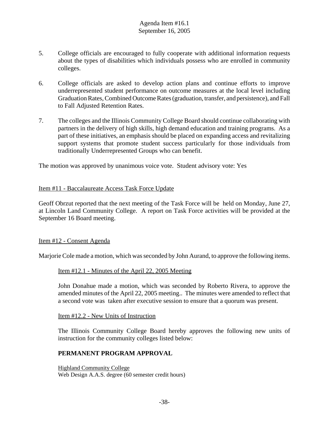- 5. College officials are encouraged to fully cooperate with additional information requests about the types of disabilities which individuals possess who are enrolled in community colleges.
- 6. College officials are asked to develop action plans and continue efforts to improve underrepresented student performance on outcome measures at the local level including Graduation Rates, Combined Outcome Rates (graduation, transfer, and persistence), and Fall to Fall Adjusted Retention Rates.
- 7. The colleges and the Illinois Community College Board should continue collaborating with partners in the delivery of high skills, high demand education and training programs. As a part of these initiatives, an emphasis should be placed on expanding access and revitalizing support systems that promote student success particularly for those individuals from traditionally Underrepresented Groups who can benefit.

The motion was approved by unanimous voice vote. Student advisory vote: Yes

#### Item #11 - Baccalaureate Access Task Force Update

Geoff Obrzut reported that the next meeting of the Task Force will be held on Monday, June 27, at Lincoln Land Community College. A report on Task Force activities will be provided at the September 16 Board meeting.

#### Item #12 - Consent Agenda

Marjorie Cole made a motion, which was seconded by John Aurand, to approve the following items.

#### Item #12.1 - Minutes of the April 22, 2005 Meeting

John Donahue made a motion, which was seconded by Roberto Rivera, to approve the amended minutes of the April 22, 2005 meeting.. The minutes were amended to reflect that a second vote was taken after executive session to ensure that a quorum was present.

#### Item #12.2 - New Units of Instruction

The Illinois Community College Board hereby approves the following new units of instruction for the community colleges listed below:

#### **PERMANENT PROGRAM APPROVAL**

Highland Community College Web Design A.A.S. degree (60 semester credit hours)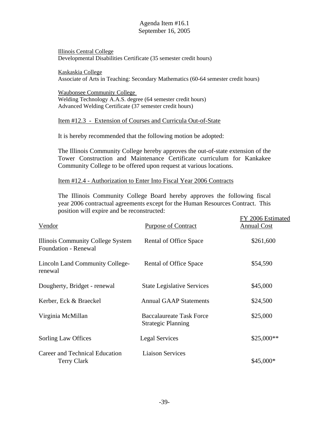Illinois Central College Developmental Disabilities Certificate (35 semester credit hours)

Kaskaskia College Associate of Arts in Teaching: Secondary Mathematics (60-64 semester credit hours)

Waubonsee Community College Welding Technology A.A.S. degree (64 semester credit hours) Advanced Welding Certificate (37 semester credit hours)

#### Item #12.3 - Extension of Courses and Curricula Out-of-State

It is hereby recommended that the following motion be adopted:

The Illinois Community College hereby approves the out-of-state extension of the Tower Construction and Maintenance Certificate curriculum for Kankakee Community College to be offered upon request at various locations.

Item #12.4 - Authorization to Enter Into Fiscal Year 2006 Contracts

The Illinois Community College Board hereby approves the following fiscal year 2006 contractual agreements except for the Human Resources Contract. This position will expire and be reconstructed:

| position will explic and be reconstructed.                       | FY 2006 Estimated                                            |                    |
|------------------------------------------------------------------|--------------------------------------------------------------|--------------------|
| Vendor                                                           | <b>Purpose of Contract</b>                                   | <b>Annual Cost</b> |
| Illinois Community College System<br><b>Foundation - Renewal</b> | Rental of Office Space                                       | \$261,600          |
| <b>Lincoln Land Community College-</b><br>renewal                | Rental of Office Space                                       | \$54,590           |
| Dougherty, Bridget - renewal                                     | <b>State Legislative Services</b>                            | \$45,000           |
| Kerber, Eck & Braeckel                                           | <b>Annual GAAP Statements</b>                                | \$24,500           |
| Virginia McMillan                                                | <b>Baccalaureate Task Force</b><br><b>Strategic Planning</b> | \$25,000           |
| Sorling Law Offices                                              | <b>Legal Services</b>                                        | \$25,000**         |
| Career and Technical Education<br><b>Terry Clark</b>             | <b>Liaison Services</b>                                      | \$45,000*          |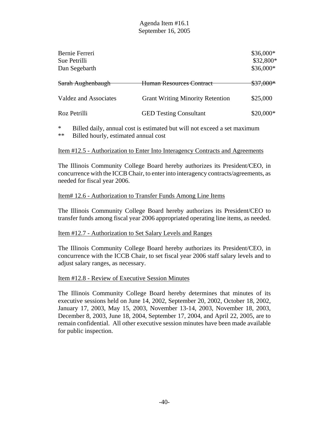| Bernie Ferreri<br>Sue Petrilli<br>Dan Segebarth |                                         | \$36,000*<br>\$32,800*<br>$$36,000*$ |
|-------------------------------------------------|-----------------------------------------|--------------------------------------|
| Sarah Aughenbaugh                               | <del>Human Resources Contract</del>     | <del>\$37,000*</del>                 |
| <b>Valdez and Associates</b>                    | <b>Grant Writing Minority Retention</b> | \$25,000                             |
| Roz Petrilli                                    | <b>GED Testing Consultant</b>           | $$20,000*$                           |
|                                                 |                                         |                                      |

\* Billed daily, annual cost is estimated but will not exceed a set maximum \*\* Billed hourly, estimated annual cost

#### Item #12.5 - Authorization to Enter Into Interagency Contracts and Agreements

The Illinois Community College Board hereby authorizes its President/CEO, in concurrence with the ICCB Chair, to enter into interagency contracts/agreements, as needed for fiscal year 2006.

#### Item# 12.6 - Authorization to Transfer Funds Among Line Items

The Illinois Community College Board hereby authorizes its President/CEO to transfer funds among fiscal year 2006 appropriated operating line items, as needed.

#### Item #12.7 - Authorization to Set Salary Levels and Ranges

The Illinois Community College Board hereby authorizes its President/CEO, in concurrence with the ICCB Chair, to set fiscal year 2006 staff salary levels and to adjust salary ranges, as necessary.

#### Item #12.8 - Review of Executive Session Minutes

The Illinois Community College Board hereby determines that minutes of its executive sessions held on June 14, 2002, September 20, 2002, October 18, 2002, January 17, 2003, May 15, 2003, November 13-14, 2003, November 18, 2003, December 8, 2003, June 18, 2004, September 17, 2004, and April 22, 2005, are to remain confidential. All other executive session minutes have been made available for public inspection.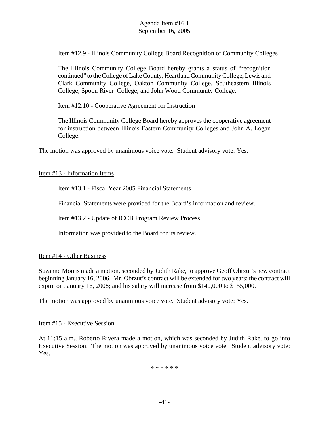#### Item #12.9 - Illinois Community College Board Recognition of Community Colleges

The Illinois Community College Board hereby grants a status of "recognition continued" to the College of Lake County, Heartland Community College, Lewis and Clark Community College, Oakton Community College, Southeastern Illinois College, Spoon River College, and John Wood Community College.

#### Item #12.10 - Cooperative Agreement for Instruction

The Illinois Community College Board hereby approves the cooperative agreement for instruction between Illinois Eastern Community Colleges and John A. Logan College.

The motion was approved by unanimous voice vote. Student advisory vote: Yes.

#### Item #13 - Information Items

#### Item #13.1 - Fiscal Year 2005 Financial Statements

Financial Statements were provided for the Board's information and review.

#### Item #13.2 - Update of ICCB Program Review Process

Information was provided to the Board for its review.

#### Item #14 - Other Business

Suzanne Morris made a motion, seconded by Judith Rake, to approve Geoff Obrzut's new contract beginning January 16, 2006. Mr. Obrzut's contract will be extended for two years; the contract will expire on January 16, 2008; and his salary will increase from \$140,000 to \$155,000.

The motion was approved by unanimous voice vote. Student advisory vote: Yes.

#### Item #15 - Executive Session

At 11:15 a.m., Roberto Rivera made a motion, which was seconded by Judith Rake, to go into Executive Session. The motion was approved by unanimous voice vote. Student advisory vote: Yes.

\* \* \* \* \* \*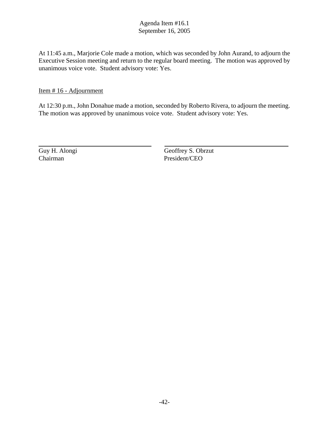At 11:45 a.m., Marjorie Cole made a motion, which was seconded by John Aurand, to adjourn the Executive Session meeting and return to the regular board meeting. The motion was approved by unanimous voice vote. Student advisory vote: Yes.

Item # 16 - Adjournment

At 12:30 p.m., John Donahue made a motion, seconded by Roberto Rivera, to adjourn the meeting. The motion was approved by unanimous voice vote. Student advisory vote: Yes.

 $\overline{a}$ 

Guy H. Alongi Geoffrey S. Obrzut Chairman President/CEO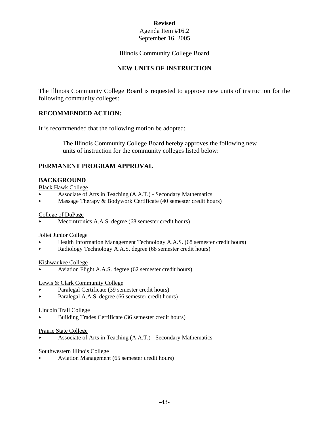# **Revised**

#### Agenda Item #16.2 September 16, 2005

#### Illinois Community College Board

# **NEW UNITS OF INSTRUCTION**

The Illinois Community College Board is requested to approve new units of instruction for the following community colleges:

# **RECOMMENDED ACTION:**

It is recommended that the following motion be adopted:

 The Illinois Community College Board hereby approves the following new units of instruction for the community colleges listed below:

# **PERMANENT PROGRAM APPROVAL**

# **BACKGROUND**

Black Hawk College

- < Associate of Arts in Teaching (A.A.T.) Secondary Mathematics
- $\blacktriangleright$  Massage Therapy & Bodywork Certificate (40 semester credit hours)

#### College of DuPage

Mecomtronics A.A.S. degree (68 semester credit hours)

#### Joliet Junior College

- < Health Information Management Technology A.A.S. (68 semester credit hours)
- < Radiology Technology A.A.S. degree (68 semester credit hours)

#### Kishwaukee College

< Aviation Flight A.A.S. degree (62 semester credit hours)

#### Lewis & Clark Community College

- < Paralegal Certificate (39 semester credit hours)
- Paralegal A.A.S. degree (66 semester credit hours)

#### Lincoln Trail College

< Building Trades Certificate (36 semester credit hours)

#### Prairie State College

< Associate of Arts in Teaching (A.A.T.) - Secondary Mathematics

#### Southwestern Illinois College

< Aviation Management (65 semester credit hours)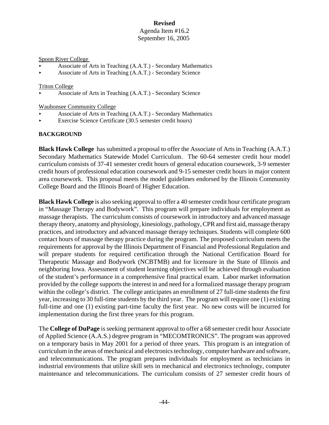#### Spoon River College

- < Associate of Arts in Teaching (A.A.T.) Secondary Mathematics
- Associate of Arts in Teaching (A.A.T.) Secondary Science

#### Triton College

Associate of Arts in Teaching (A.A.T.) - Secondary Science

#### Waubonsee Community College

- < Associate of Arts in Teaching (A.A.T.) Secondary Mathematics
- < Exercise Science Certificate (30.5 semester credit hours)

#### **BACKGROUND**

**Black Hawk College** has submitted a proposal to offer the Associate of Arts in Teaching (A.A.T.) Secondary Mathematics Statewide Model Curriculum. The 60-64 semester credit hour model curriculum consists of 37-41 semester credit hours of general education coursework, 3-9 semester credit hours of professional education coursework and 9-15 semester credit hours in major content area coursework. This proposal meets the model guidelines endorsed by the Illinois Community College Board and the Illinois Board of Higher Education.

**Black Hawk College** is also seeking approval to offer a 40 semester credit hour certificate program in "Massage Therapy and Bodywork". This program will prepare individuals for employment as massage therapists. The curriculum consists of coursework in introductory and advanced massage therapy theory, anatomy and physiology, kinesiology, pathology, CPR and first aid, massage therapy practices, and introductory and advanced massage therapy techniques. Students will complete 600 contact hours of massage therapy practice during the program. The proposed curriculum meets the requirements for approval by the Illinois Department of Financial and Professional Regulation and will prepare students for required certification through the National Certification Board for Therapeutic Massage and Bodywork (NCBTMB) and for licensure in the State of Illinois and neighboring Iowa. Assessment of student learning objectives will be achieved through evaluation of the student's performance in a comprehensive final practical exam. Labor market information provided by the college supports the interest in and need for a formalized massage therapy program within the college's district. The college anticipates an enrollment of 27 full-time students the first year, increasing to 30 full-time students by the third year. The program will require one (1) existing full-time and one (1) existing part-time faculty the first year. No new costs will be incurred for implementation during the first three years for this program.

The **College of DuPage** is seeking permanent approval to offer a 68 semester credit hour Associate of Applied Science (A.A.S.) degree program in "MECOMTRONICS". The program was approved on a temporary basis in May 2001 for a period of three years. This program is an integration of curriculum in the areas of mechanical and electronics technology, computer hardware and software, and telecommunications. The program prepares individuals for employment as technicians in industrial environments that utilize skill sets in mechanical and electronics technology, computer maintenance and telecommunications. The curriculum consists of 27 semester credit hours of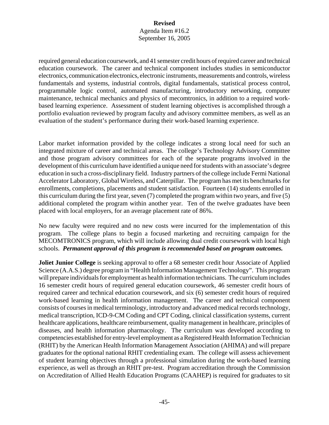required general education coursework, and 41 semester credit hours of required career and technical education coursework. The career and technical component includes studies in semiconductor electronics, communication electronics, electronic instruments, measurements and controls, wireless fundamentals and systems, industrial controls, digital fundamentals, statistical process control, programmable logic control, automated manufacturing, introductory networking, computer maintenance, technical mechanics and physics of mecomtronics, in addition to a required workbased learning experience. Assessment of student learning objectives is accomplished through a portfolio evaluation reviewed by program faculty and advisory committee members, as well as an evaluation of the student's performance during their work-based learning experience.

Labor market information provided by the college indicates a strong local need for such an integrated mixture of career and technical areas. The college's Technology Advisory Committee and those program advisory committees for each of the separate programs involved in the development of this curriculum have identified a unique need for students with an associate's degree education in such a cross-disciplinary field. Industry partners of the college include Fermi National Accelerator Laboratory, Global Wireless, and Caterpillar. The program has met its benchmarks for enrollments, completions, placements and student satisfaction. Fourteen (14) students enrolled in this curriculum during the first year, seven (7) completed the program within two years, and five (5) additional completed the program within another year. Ten of the twelve graduates have been placed with local employers, for an average placement rate of 86%.

No new faculty were required and no new costs were incurred for the implementation of this program. The college plans to begin a focused marketing and recruiting campaign for the MECOMTRONICS program, which will include allowing dual credit coursework with local high schools. *Permanent approval of this program is recommended based on program outcomes.* 

**Joliet Junior College** is seeking approval to offer a 68 semester credit hour Associate of Applied Science (A.A.S.) degree program in "Health Information Management Technology". This program will prepare individuals for employment as health information technicians. The curriculum includes 16 semester credit hours of required general education coursework, 46 semester credit hours of required career and technical education coursework, and six (6) semester credit hours of required work-based learning in health information management. The career and technical component consists of courses in medical terminology, introductory and advanced medical records technology, medical transcription, ICD-9-CM Coding and CPT Coding, clinical classification systems, current healthcare applications, healthcare reimbursement, quality management in healthcare, principles of diseases, and health information pharmacology. The curriculum was developed according to competencies established for entry-level employment as a Registered Health Information Technician (RHIT) by the American Health Information Management Association (AHIMA) and will prepare graduates for the optional national RHIT credentialing exam. The college will assess achievement of student learning objectives through a professional simulation during the work-based learning experience, as well as through an RHIT pre-test. Program accreditation through the Commission on Accreditation of Allied Health Education Programs (CAAHEP) is required for graduates to sit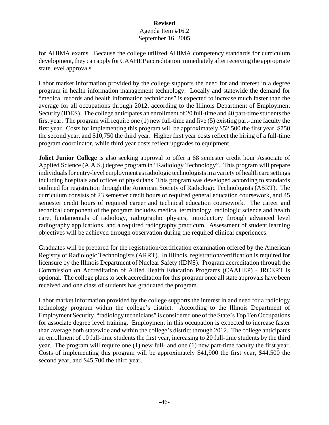for AHIMA exams. Because the college utilized AHIMA competency standards for curriculum development, they can apply for CAAHEP accreditation immediately after receiving the appropriate state level approvals.

Labor market information provided by the college supports the need for and interest in a degree program in health information management technology. Locally and statewide the demand for "medical records and health information technicians" is expected to increase much faster than the average for all occupations through 2012, according to the Illinois Department of Employment Security (IDES). The college anticipates an enrollment of 20 full-time and 40 part-time students the first year. The program will require one (1) new full-time and five (5) existing part-time faculty the first year. Costs for implementing this program will be approximately \$52,500 the first year, \$750 the second year, and \$10,750 the third year. Higher first year costs reflect the hiring of a full-time program coordinator, while third year costs reflect upgrades to equipment.

**Joliet Junior College** is also seeking approval to offer a 68 semester credit hour Associate of Applied Science (A.A.S.) degree program in "Radiology Technology". This program will prepare individuals for entry-level employment as radiologic technologists in a variety of health care settings including hospitals and offices of physicians. This program was developed according to standards outlined for registration through the American Society of Radiologic Technologists (ASRT). The curriculum consists of 23 semester credit hours of required general education coursework, and 45 semester credit hours of required career and technical education coursework. The career and technical component of the program includes medical terminology, radiologic science and health care, fundamentals of radiology, radiographic physics, introductory through advanced level radiography applications, and a required radiography practicum. Assessment of student learning objectives will be achieved through observation during the required clinical experiences.

Graduates will be prepared for the registration/certification examination offered by the American Registry of Radiologic Technologists (ARRT). In Illinois, registration/certification is required for licensure by the Illinois Department of Nuclear Safety (IDNS). Program accreditation through the Commission on Accreditation of Allied Health Education Programs (CAAHEP) - JRCERT is optional. The college plans to seek accreditation for this program once all state approvals have been received and one class of students has graduated the program.

Labor market information provided by the college supports the interest in and need for a radiology technology program within the college's district. According to the Illinois Department of Employment Security, "radiology technicians" is considered one of the State's Top Ten Occupations for associate degree level training. Employment in this occupation is expected to increase faster than average both statewide and within the college's district through 2012. The college anticipates an enrollment of 10 full-time students the first year, increasing to 20 full-time students by the third year. The program will require one (1) new full- and one (1) new part-time faculty the first year. Costs of implementing this program will be approximately \$41,900 the first year, \$44,500 the second year, and \$45,700 the third year.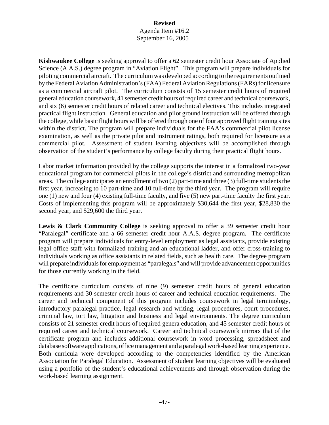**Kishwaukee College** is seeking approval to offer a 62 semester credit hour Associate of Applied Science (A.A.S.) degree program in "Aviation Flight". This program will prepare individuals for piloting commercial aircraft. The curriculum was developed according to the requirements outlined by the Federal Aviation Administration's (FAA) Federal Aviation Regulations (FARs) for licensure as a commercial aircraft pilot. The curriculum consists of 15 semester credit hours of required general education coursework, 41 semester credit hours of required career and technical coursework, and six (6) semester credit hours of related career and technical electives. This includes integrated practical flight instruction. General education and pilot ground instruction will be offered through the college, while basic flight hours will be offered through one of four approved flight training sites within the district. The program will prepare individuals for the FAA's commercial pilot license examination, as well as the private pilot and instrument ratings, both required for licensure as a commercial pilot. Assessment of student learning objectives will be accomplished through observation of the student's performance by college faculty during their practical flight hours.

Labor market information provided by the college supports the interest in a formalized two-year educational program for commercial pilots in the college's district and surrounding metropolitan areas. The college anticipates an enrollment of two (2) part-time and three (3) full-time students the first year, increasing to 10 part-time and 10 full-time by the third year. The program will require one (1) new and four (4) existing full-time faculty, and five (5) new part-time faculty the first year. Costs of implementing this program will be approximately \$30,644 the first year, \$28,830 the second year, and \$29,600 the third year.

**Lewis & Clark Community College** is seeking approval to offer a 39 semester credit hour "Paralegal" certificate and a 66 semester credit hour A.A.S. degree program. The certificate program will prepare individuals for entry-level employment as legal assistants, provide existing legal office staff with formalized training and an educational ladder, and offer cross-training to individuals working as office assistants in related fields, such as health care. The degree program will prepare individuals for employment as "paralegals" and will provide advancement opportunities for those currently working in the field.

The certificate curriculum consists of nine (9) semester credit hours of general education requirements and 30 semester credit hours of career and technical education requirements. The career and technical component of this program includes coursework in legal terminology, introductory paralegal practice, legal research and writing, legal procedures, court procedures, criminal law, tort law, litigation and business and legal environments. The degree curriculum consists of 21 semester credit hours of required genera education, and 45 semester credit hours of required career and technical coursework. Career and technical coursework mirrors that of the certificate program and includes additional coursework in word processing, spreadsheet and database software applications, office management and a paralegal work-based learning experience. Both curricula were developed according to the competencies identified by the American Association for Paralegal Education. Assessment of student learning objectives will be evaluated using a portfolio of the student's educational achievements and through observation during the work-based learning assignment.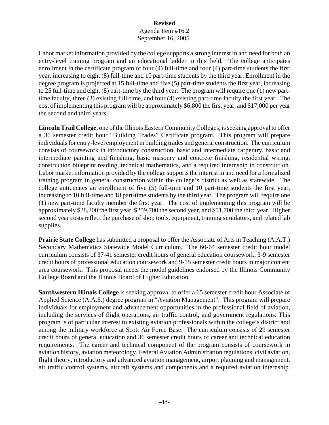# **Revised**

#### Agenda Item #16.2 September 16, 2005

Labor market information provided by the college supports a strong interest in and need for both an entry-level training program and an educational ladder in this field. The college anticipates enrollment in the certificate program of four (4) full-time and four (4) part-time students the first year, increasing to eight (8) full-time and 10 part-time students by the third year. Enrollment in the degree program is projected at 15 full-time and five (5) part-time students the first year, increasing to 25 full-time and eight (8) part-time by the third year. The program will require one (1) new parttime faculty, three (3) existing full-time, and four (4) existing part-time faculty the first year. The cost of implementing this program will be approximately \$6,800 the first year, and \$17,000 per year the second and third years.

**Lincoln Trail College**, one of the Illinois Eastern Community Colleges, is seeking approval to offer a 36 semester credit hour "Building Trades" Certificate program. This program will prepare individuals for entry-level employment in building trades and general construction. The curriculum consists of coursework in introductory construction, basic and intermediate carpentry, basic and intermediate painting and finishing, basic masonry and concrete finishing, residential wiring, construction blueprint reading, technical mathematics, and a required internship in construction. Labor market information provided by the college supports the interest in and need for a formalized training program in general construction within the college's district as well as statewide. The college anticipates an enrollment of five (5) full-time and 10 part-time students the first year, increasing to 10 full-time and 18 part-time students by the third year. The program will require one (1) new part-time faculty member the first year. The cost of implementing this program will be approximately \$28,200 the first year, \$259,700 the second year, and \$51,700 the third year. Higher second year costs reflect the purchase of shop tools, equipment, training simulators, and related lab supplies.

**Prairie State College** has submitted a proposal to offer the Associate of Arts in Teaching (A.A.T.) Secondary Mathematics Statewide Model Curriculum. The 60-64 semester credit hour model curriculum consists of 37-41 semester credit hours of general education coursework, 3-9 semester credit hours of professional education coursework and 9-15 semester credit hours in major content area coursework. This proposal meets the model guidelines endorsed by the Illinois Community College Board and the Illinois Board of Higher Education.

**Southwestern Illinois College** is seeking approval to offer a 65 semester credit hour Associate of Applied Science (A.A.S.) degree program in "Aviation Management". This program will prepare individuals for employment and advancement opportunities in the professional field of aviation, including the services of flight operations, air traffic control, and government regulations. This program is of particular interest to existing aviation professionals within the college's district and among the military workforce at Scott Air Force Base. The curriculum consists of 29 semester credit hours of general education and 36 semester credit hours of career and technical education requirements. The career and technical component of the program consists of coursework in aviation history, aviation meteorology, Federal Aviation Administration regulations, civil aviation, flight theory, introductory and advanced aviation management, airport planning and management, air traffic control systems, aircraft systems and components and a required aviation internship.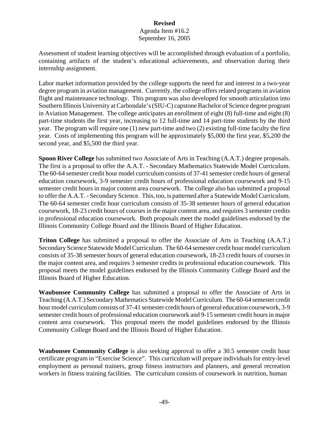Assessment of student learning objectives will be accomplished through evaluation of a portfolio, containing artifacts of the student's educational achievements, and observation during their internship assignment.

Labor market information provided by the college supports the need for and interest in a two-year degree program in aviation management. Currently, the college offers related programs in aviation flight and maintenance technology. This program was also developed for smooth articulation into Southern Illinois University at Carbondale's (SIU-C) capstone Bachelor of Science degree program in Aviation Management. The college anticipates an enrollment of eight (8) full-time and eight (8) part-time students the first year, increasing to 12 full-time and 14 part-time students by the third year. The program will require one (1) new part-time and two (2) existing full-time faculty the first year. Costs of implementing this program will be approximately \$5,000 the first year, \$5,200 the second year, and \$5,500 the third year.

**Spoon River College** has submitted two Associate of Arts in Teaching (A.A.T.) degree proposals. The first is a proposal to offer the A.A.T. - Secondary Mathematics Statewide Model Curriculum. The 60-64 semester credit hour model curriculum consists of 37-41 semester credit hours of general education coursework, 3-9 semester credit hours of professional education coursework and 9-15 semester credit hours in major content area coursework. The college also has submitted a proposal to offer the A.A.T. - Secondary Science. This, too, is patterned after a Statewide Model Curriculum. The 60-64 semester credit hour curriculum consists of 35-38 semester hours of general education coursework, 18-23 credit hours of courses in the major content area, and requires 3 semester credits in professional education coursework. Both proposals meet the model guidelines endorsed by the Illinois Community College Board and the Illinois Board of Higher Education.

**Triton College** has submitted a proposal to offer the Associate of Arts in Teaching (A.A.T.) Secondary Science Statewide Model Curriculum. The 60-64 semester credit hour model curriculum consists of 35-38 semester hours of general education coursework, 18-23 credit hours of courses in the major content area, and requires 3 semester credits in professional education coursework. This proposal meets the model guidelines endorsed by the Illinois Community College Board and the Illinois Board of Higher Education.

**Waubonsee Community College** has submitted a proposal to offer the Associate of Arts in Teaching (A.A.T.) Secondary Mathematics Statewide Model Curriculum. The 60-64 semester credit hour model curriculum consists of 37-41 semester credit hours of general education coursework, 3-9 semester credit hours of professional education coursework and 9-15 semester credit hours in major content area coursework. This proposal meets the model guidelines endorsed by the Illinois Community College Board and the Illinois Board of Higher Education.

**Waubonsee Community College** is also seeking approval to offer a 30.5 semester credit hour certificate program in "Exercise Science". This curriculum will prepare individuals for entry-level employment as personal trainers, group fitness instructors and planners, and general recreation workers in fitness training facilities. The curriculum consists of coursework in nutrition, human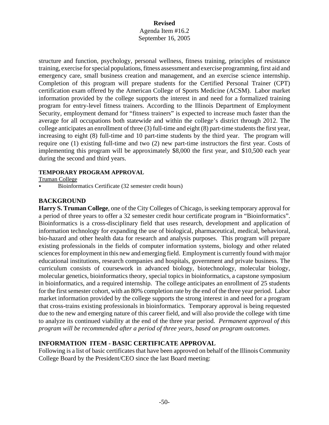structure and function, psychology, personal wellness, fitness training, principles of resistance training, exercise for special populations, fitness assessment and exercise programming, first aid and emergency care, small business creation and management, and an exercise science internship. Completion of this program will prepare students for the Certified Personal Trainer (CPT) certification exam offered by the American College of Sports Medicine (ACSM). Labor market information provided by the college supports the interest in and need for a formalized training program for entry-level fitness trainers. According to the Illinois Department of Employment Security, employment demand for "fitness trainers" is expected to increase much faster than the average for all occupations both statewide and within the college's district through 2012. The college anticipates an enrollment of three (3) full-time and eight (8) part-time students the first year, increasing to eight (8) full-time and 10 part-time students by the third year. The program will require one (1) existing full-time and two (2) new part-time instructors the first year. Costs of implementing this program will be approximately \$8,000 the first year, and \$10,500 each year during the second and third years.

#### **TEMPORARY PROGRAM APPROVAL**

Truman College

< Bioinformatics Certificate (32 semester credit hours)

#### **BACKGROUND**

**Harry S. Truman College**, one of the City Colleges of Chicago, is seeking temporary approval for a period of three years to offer a 32 semester credit hour certificate program in "Bioinformatics". Bioinformatics is a cross-disciplinary field that uses research, development and application of information technology for expanding the use of biological, pharmaceutical, medical, behavioral, bio-hazard and other health data for research and analysis purposes. This program will prepare existing professionals in the fields of computer information systems, biology and other related sciences for employment in this new and emerging field. Employment is currently found with major educational institutions, research companies and hospitals, government and private business. The curriculum consists of coursework in advanced biology, biotechnology, molecular biology, molecular genetics, bioinformatics theory, special topics in bioinformatics, a capstone symposium in bioinformatics, and a required internship. The college anticipates an enrollment of 25 students for the first semester cohort, with an 80% completion rate by the end of the three year period. Labor market information provided by the college supports the strong interest in and need for a program that cross-trains existing professionals in bioinformatics. Temporary approval is being requested due to the new and emerging nature of this career field, and will also provide the college with time to analyze its continued viability at the end of the three year period. *Permanent approval of this program will be recommended after a period of three years, based on program outcomes.* 

# **INFORMATION ITEM - BASIC CERTIFICATE APPROVAL**

Following is a list of basic certificates that have been approved on behalf of the Illinois Community College Board by the President/CEO since the last Board meeting: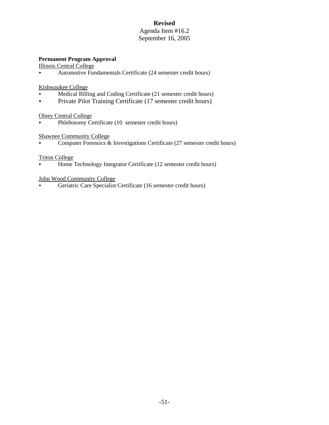# **Revised**

#### Agenda Item #16.2 September 16, 2005

#### **Permanent Program Approval**

Illinois Central College

< Automotive Fundamentals Certificate (24 semester credit hours)

#### Kishwaukee College

- < Medical Billing and Coding Certificate (21 semester credit hours)
- **Private Pilot Training Certificate (17 semester credit hours)**

#### Olney Central College

• Phlebotomy Certificate (10 semester credit hours)

#### Shawnee Community College

• Computer Forensics  $\&$  Investigations Certificate (27 semester credit hours)

#### Triton College

< Home Technology Integrator Certificate (12 semester credit hours)

#### John Wood Community College

< Geriatric Care Specialist Certificate (16 semester credit hours)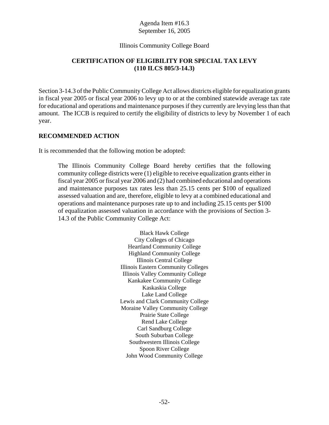#### Illinois Community College Board

# **CERTIFICATION OF ELIGIBILITY FOR SPECIAL TAX LEVY (110 ILCS 805/3-14.3)**

Section 3-14.3 of the Public Community College Act allows districts eligible for equalization grants in fiscal year 2005 or fiscal year 2006 to levy up to or at the combined statewide average tax rate for educational and operations and maintenance purposes if they currently are levying less than that amount. The ICCB is required to certify the eligibility of districts to levy by November 1 of each year.

# **RECOMMENDED ACTION**

It is recommended that the following motion be adopted:

The Illinois Community College Board hereby certifies that the following community college districts were (1) eligible to receive equalization grants either in fiscal year 2005 or fiscal year 2006 and (2) had combined educational and operations and maintenance purposes tax rates less than 25.15 cents per \$100 of equalized assessed valuation and are, therefore, eligible to levy at a combined educational and operations and maintenance purposes rate up to and including 25.15 cents per \$100 of equalization assessed valuation in accordance with the provisions of Section 3- 14.3 of the Public Community College Act:

> Black Hawk College City Colleges of Chicago Heartland Community College Highland Community College Illinois Central College Illinois Eastern Community Colleges Illinois Valley Community College Kankakee Community College Kaskaskia College Lake Land College Lewis and Clark Community College Moraine Valley Community College Prairie State College Rend Lake College Carl Sandburg College South Suburban College Southwestern Illinois College Spoon River College John Wood Community College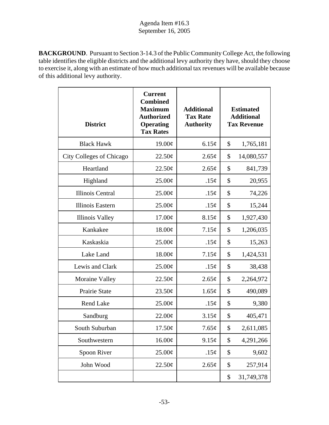**BACKGROUND**. Pursuant to Section 3-14.3 of the Public Community College Act, the following table identifies the eligible districts and the additional levy authority they have, should they choose to exercise it, along with an estimate of how much additional tax revenues will be available because of this additional levy authority.

| <b>District</b>                 | <b>Current</b><br><b>Combined</b><br><b>Maximum</b><br><b>Authorized</b><br><b>Operating</b><br><b>Tax Rates</b> | <b>Additional</b><br><b>Tax Rate</b><br><b>Authority</b> | <b>Estimated</b><br><b>Additional</b><br><b>Tax Revenue</b> |            |
|---------------------------------|------------------------------------------------------------------------------------------------------------------|----------------------------------------------------------|-------------------------------------------------------------|------------|
| <b>Black Hawk</b>               | 19.00¢                                                                                                           | 6.15¢                                                    | \$                                                          | 1,765,181  |
| <b>City Colleges of Chicago</b> | 22.50¢                                                                                                           | 2.65¢                                                    | \$                                                          | 14,080,557 |
| Heartland                       | 22.50¢                                                                                                           | 2.65¢                                                    | \$                                                          | 841,739    |
| Highland                        | 25.00¢                                                                                                           | .15¢                                                     | \$                                                          | 20,955     |
| <b>Illinois Central</b>         | 25.00¢                                                                                                           | .15¢                                                     | \$                                                          | 74,226     |
| <b>Illinois Eastern</b>         | $25.00\phi$                                                                                                      | .15¢                                                     | \$                                                          | 15,244     |
| <b>Illinois Valley</b>          | 17.00¢                                                                                                           | 8.15¢                                                    | \$                                                          | 1,927,430  |
| Kankakee                        | 18.00¢                                                                                                           | 7.15¢                                                    | \$                                                          | 1,206,035  |
| Kaskaskia                       | 25.00¢                                                                                                           | .15¢                                                     | \$                                                          | 15,263     |
| Lake Land                       | 18.00¢                                                                                                           | 7.15¢                                                    | \$                                                          | 1,424,531  |
| Lewis and Clark                 | 25.00¢                                                                                                           | .15¢                                                     | \$                                                          | 38,438     |
| Moraine Valley                  | 22.50¢                                                                                                           | 2.65¢                                                    | \$                                                          | 2,264,972  |
| Prairie State                   | 23.50¢                                                                                                           | 1.65¢                                                    | \$                                                          | 490,089    |
| Rend Lake                       | 25.00¢                                                                                                           | .15¢                                                     | \$                                                          | 9,380      |
| Sandburg                        | 22.00¢                                                                                                           | 3.15¢                                                    | \$                                                          | 405,471    |
| South Suburban                  | 17.50¢                                                                                                           | 7.65¢                                                    | \$                                                          | 2,611,085  |
| Southwestern                    | 16.00¢                                                                                                           | 9.15¢                                                    | \$                                                          | 4,291,266  |
| Spoon River                     | 25.00¢                                                                                                           | .15¢                                                     | \$                                                          | 9,602      |
| John Wood                       | 22.50¢                                                                                                           | 2.65¢                                                    | \$                                                          | 257,914    |
|                                 |                                                                                                                  |                                                          | \$                                                          | 31,749,378 |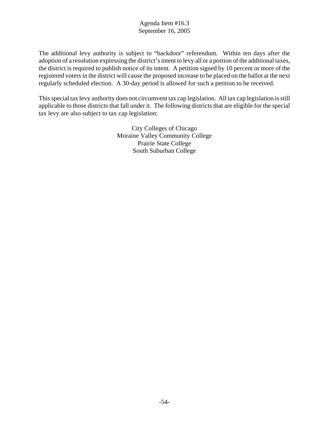The additional levy authority is subject to "backdoor" referendum. Within ten days after the adoption of a resolution expressing the district's intent to levy all or a portion of the additional taxes, the district is required to publish notice of its intent. A petition signed by 10 percent or more of the registered voters in the district will cause the proposed increase to be placed on the ballot at the next regularly scheduled election. A 30-day period is allowed for such a petition to be received.

This special tax levy authority does not circumvent tax cap legislation. All tax cap legislation is still applicable to those districts that fall under it. The following districts that are eligible for the special tax levy are also subject to tax cap legislation:

> City Colleges of Chicago Moraine Valley Community College Prairie State College South Suburban College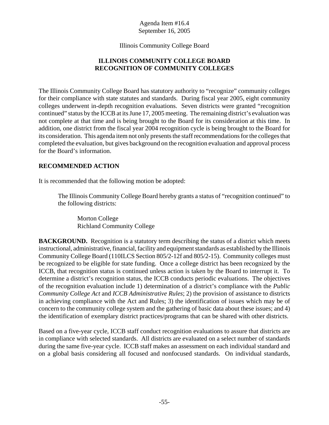Illinois Community College Board

# **ILLINOIS COMMUNITY COLLEGE BOARD RECOGNITION OF COMMUNITY COLLEGES**

The Illinois Community College Board has statutory authority to "recognize" community colleges for their compliance with state statutes and standards. During fiscal year 2005, eight community colleges underwent in-depth recognition evaluations. Seven districts were granted "recognition continued" status by the ICCB at its June 17, 2005 meeting. The remaining district's evaluation was not complete at that time and is being brought to the Board for its consideration at this time. In addition, one district from the fiscal year 2004 recognition cycle is being brought to the Board for its consideration. This agenda item not only presents the staff recommendations for the colleges that completed the evaluation, but gives background on the recognition evaluation and approval process for the Board's information.

# **RECOMMENDED ACTION**

It is recommended that the following motion be adopted:

The Illinois Community College Board hereby grants a status of "recognition continued" to the following districts:

Morton College Richland Community College

**BACKGROUND.** Recognition is a statutory term describing the status of a district which meets instructional, administrative, financial, facility and equipment standards as established by the Illinois Community College Board (110ILCS Section 805/2-12f and 805/2-15). Community colleges must be recognized to be eligible for state funding. Once a college district has been recognized by the ICCB, that recognition status is continued unless action is taken by the Board to interrupt it. To determine a district's recognition status, the ICCB conducts periodic evaluations. The objectives of the recognition evaluation include 1) determination of a district's compliance with the *Public Community College Act* and *ICCB Administrative Rules*; 2) the provision of assistance to districts in achieving compliance with the Act and Rules; 3) the identification of issues which may be of concern to the community college system and the gathering of basic data about these issues; and 4) the identification of exemplary district practices/programs that can be shared with other districts.

Based on a five-year cycle, ICCB staff conduct recognition evaluations to assure that districts are in compliance with selected standards. All districts are evaluated on a select number of standards during the same five-year cycle. ICCB staff makes an assessment on each individual standard and on a global basis considering all focused and nonfocused standards. On individual standards,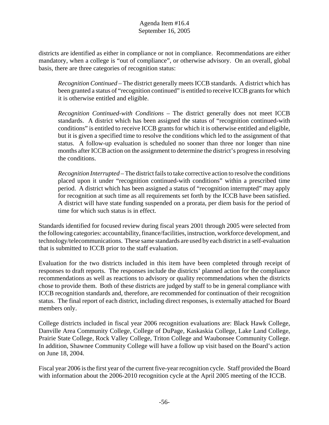districts are identified as either in compliance or not in compliance. Recommendations are either mandatory, when a college is "out of compliance", or otherwise advisory. On an overall, global basis, there are three categories of recognition status:

*Recognition Continued* – The district generally meets ICCB standards. A district which has been granted a status of "recognition continued" is entitled to receive ICCB grants for which it is otherwise entitled and eligible.

*Recognition Continued-with Conditions* – The district generally does not meet ICCB standards. A district which has been assigned the status of "recognition continued-with conditions" is entitled to receive ICCB grants for which it is otherwise entitled and eligible, but it is given a specified time to resolve the conditions which led to the assignment of that status. A follow-up evaluation is scheduled no sooner than three nor longer than nine months after ICCB action on the assignment to determine the district's progress in resolving the conditions.

*Recognition Interrupted* – The district fails to take corrective action to resolve the conditions placed upon it under "recognition continued-with conditions" within a prescribed time period. A district which has been assigned a status of "recognition interrupted" may apply for recognition at such time as all requirements set forth by the ICCB have been satisfied. A district will have state funding suspended on a prorata, per diem basis for the period of time for which such status is in effect.

Standards identified for focused review during fiscal years 2001 through 2005 were selected from the following categories: accountability, finance/facilities, instruction, workforce development, and technology/telecommunications. These same standards are used by each district in a self-evaluation that is submitted to ICCB prior to the staff evaluation.

Evaluation for the two districts included in this item have been completed through receipt of responses to draft reports. The responses include the districts' planned action for the compliance recommendations as well as reactions to advisory or quality recommendations when the districts chose to provide them. Both of these districts are judged by staff to be in general compliance with ICCB recognition standards and, therefore, are recommended for continuation of their recognition status. The final report of each district, including direct responses, is externally attached for Board members only.

College districts included in fiscal year 2006 recognition evaluations are: Black Hawk College, Danville Area Community College, College of DuPage, Kaskaskia College, Lake Land College, Prairie State College, Rock Valley College, Triton College and Waubonsee Community College. In addition, Shawnee Community College will have a follow up visit based on the Board's action on June 18, 2004.

Fiscal year 2006 is the first year of the current five-year recognition cycle. Staff provided the Board with information about the 2006-2010 recognition cycle at the April 2005 meeting of the ICCB.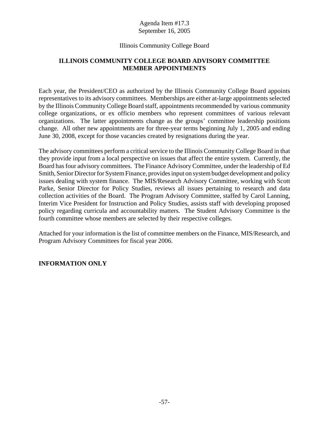# Illinois Community College Board

# **ILLINOIS COMMUNITY COLLEGE BOARD ADVISORY COMMITTEE MEMBER APPOINTMENTS**

Each year, the President/CEO as authorized by the Illinois Community College Board appoints representatives to its advisory committees. Memberships are either at-large appointments selected by the Illinois Community College Board staff, appointments recommended by various community college organizations, or ex officio members who represent committees of various relevant organizations. The latter appointments change as the groups' committee leadership positions change. All other new appointments are for three-year terms beginning July 1, 2005 and ending June 30, 2008, except for those vacancies created by resignations during the year.

The advisory committees perform a critical service to the Illinois Community College Board in that they provide input from a local perspective on issues that affect the entire system. Currently, the Board has four advisory committees. The Finance Advisory Committee, under the leadership of Ed Smith, Senior Director for System Finance, provides input on system budget development and policy issues dealing with system finance. The MIS/Research Advisory Committee, working with Scott Parke, Senior Director for Policy Studies, reviews all issues pertaining to research and data collection activities of the Board. The Program Advisory Committee, staffed by Carol Lanning, Interim Vice President for Instruction and Policy Studies, assists staff with developing proposed policy regarding curricula and accountability matters. The Student Advisory Committee is the fourth committee whose members are selected by their respective colleges.

Attached for your information is the list of committee members on the Finance, MIS/Research, and Program Advisory Committees for fiscal year 2006.

# **INFORMATION ONLY**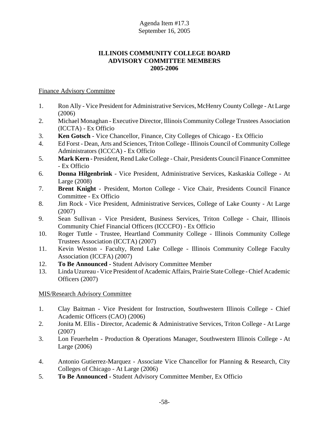# **ILLINOIS COMMUNITY COLLEGE BOARD ADVISORY COMMITTEE MEMBERS 2005-2006**

#### Finance Advisory Committee

- 1. Ron Ally Vice President for Administrative Services, McHenry County College At Large (2006)
- 2. Michael Monaghan Executive Director, Illinois Community College Trustees Association (ICCTA) - Ex Officio
- 3. **Ken Gotsch**  Vice Chancellor, Finance, City Colleges of Chicago Ex Officio
- 4. Ed Forst Dean, Arts and Sciences, Triton College Illinois Council of Community College Administrators (ICCCA) - Ex Officio
- 5. **Mark Kern** President, Rend Lake College Chair, Presidents Council Finance Committee - Ex Officio
- 6. **Donna Hilgenbrink**  Vice President, Administrative Services, Kaskaskia College At Large (2008)
- 7. **Brent Knight** President, Morton College Vice Chair, Presidents Council Finance Committee - Ex Officio
- 8. Jim Rock Vice President, Administrative Services, College of Lake County At Large (2007)
- 9. Sean Sullivan Vice President, Business Services, Triton College Chair, Illinois Community Chief Financial Officers (ICCCFO) - Ex Officio
- 10. Roger Tuttle Trustee, Heartland Community College Illinois Community College Trustees Association (ICCTA) (2007)
- 11. Kevin Weston Faculty, Rend Lake College Illinois Community College Faculty Association (ICCFA) (2007)
- 12. **To Be Announced** Student Advisory Committee Member
- 13. Linda Uzureau Vice President of Academic Affairs, Prairie State College Chief Academic Officers (2007)

# MIS/Research Advisory Committee

- 1. Clay Baitman Vice President for Instruction, Southwestern Illinois College Chief Academic Officers (CAO) (2006)
- 2. Jonita M. Ellis Director, Academic & Administrative Services, Triton College At Large (2007)
- 3. Lon Feuerhelm Production & Operations Manager, Southwestern Illinois College At Large (2006)
- 4. Antonio Gutierrez-Marquez Associate Vice Chancellor for Planning & Research, City Colleges of Chicago - At Large (2006)
- 5. **To Be Announced** Student Advisory Committee Member, Ex Officio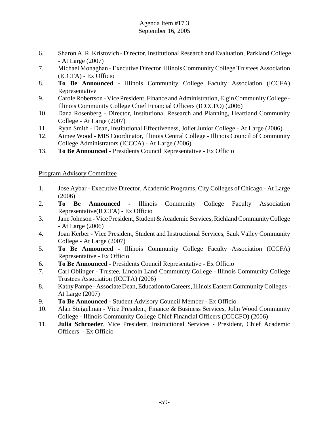- 6. Sharon A. R. Kristovich Director, Institutional Research and Evaluation, Parkland College - At Large (2007)
- 7. Michael Monaghan Executive Director, Illinois Community College Trustees Association (ICCTA) - Ex Officio
- 8. **To Be Announced** Illinois Community College Faculty Association (ICCFA) Representative
- 9. Carole Robertson Vice President, Finance and Administration, Elgin Community College Illinois Community College Chief Financial Officers (ICCCFO) (2006)
- 10. Dana Rosenberg Director, Institutional Research and Planning, Heartland Community College - At Large (2007)
- 11. Ryan Smith Dean, Institutional Effectiveness, Joliet Junior College At Large (2006)
- 12. Aimee Wood MIS Coordinator, Illinois Central College Illinois Council of Community College Administrators (ICCCA) - At Large (2006)
- 13. **To Be Announced** Presidents Council Representative Ex Officio

# Program Advisory Committee

- 1. Jose Aybar Executive Director, Academic Programs, City Colleges of Chicago At Large (2006)
- 2. **To Be Announced** Illinois Community College Faculty Association Representative(ICCFA) - Ex Officio
- 3. Jane Johnson Vice President, Student & Academic Services, Richland Community College - At Large (2006)
- 4. Joan Kerber Vice President, Student and Instructional Services, Sauk Valley Community College - At Large (2007)
- 5. **To Be Announced** Illinois Community College Faculty Association (ICCFA) Representative - Ex Officio
- 6. **To Be Announced** Presidents Council Representative Ex Officio
- 7. Carl Oblinger Trustee, Lincoln Land Community College Illinois Community College Trustees Association (ICCTA) (2006)
- 8. Kathy Pampe Associate Dean, Education to Careers, Illinois Eastern Community Colleges -At Large (2007)
- 9. **To Be Announced** Student Advisory Council Member Ex Officio
- 10. Alan Steigelman Vice President, Finance & Business Services, John Wood Community College - Illinois Community College Chief Financial Officers (ICCCFO) (2006)
- 11. **Julia Schroeder**, Vice President, Instructional Services President, Chief Academic Officers - Ex Officio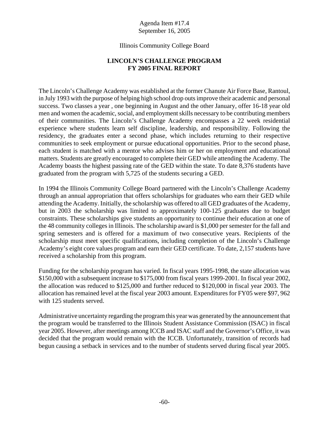#### Illinois Community College Board

# **LINCOLN'S CHALLENGE PROGRAM FY 2005 FINAL REPORT**

The Lincoln's Challenge Academy was established at the former Chanute Air Force Base, Rantoul, in July 1993 with the purpose of helping high school drop outs improve their academic and personal success. Two classes a year , one beginning in August and the other January, offer 16-18 year old men and women the academic, social, and employment skills necessary to be contributing members of their communities. The Lincoln's Challenge Academy encompasses a 22 week residential experience where students learn self discipline, leadership, and responsibility. Following the residency, the graduates enter a second phase, which includes returning to their respective communities to seek employment or pursue educational opportunities. Prior to the second phase, each student is matched with a mentor who advises him or her on employment and educational matters. Students are greatly encouraged to complete their GED while attending the Academy. The Academy boasts the highest passing rate of the GED within the state. To date 8,376 students have graduated from the program with 5,725 of the students securing a GED.

In 1994 the Illinois Community College Board partnered with the Lincoln's Challenge Academy through an annual appropriation that offers scholarships for graduates who earn their GED while attending the Academy. Initially, the scholarship was offered to all GED graduates of the Academy, but in 2003 the scholarship was limited to approximately 100-125 graduates due to budget constraints. These scholarships give students an opportunity to continue their education at one of the 48 community colleges in Illinois. The scholarship award is \$1,000 per semester for the fall and spring semesters and is offered for a maximum of two consecutive years. Recipients of the scholarship must meet specific qualifications, including completion of the Lincoln's Challenge Academy's eight core values program and earn their GED certificate. To date, 2,157 students have received a scholarship from this program.

Funding for the scholarship program has varied. In fiscal years 1995-1998, the state allocation was \$150,000 with a subsequent increase to \$175,000 from fiscal years 1999-2001. In fiscal year 2002, the allocation was reduced to \$125,000 and further reduced to \$120,000 in fiscal year 2003. The allocation has remained level at the fiscal year 2003 amount. Expenditures for FY05 were \$97, 962 with 125 students served.

Administrative uncertainty regarding the program this year was generated by the announcement that the program would be transferred to the Illinois Student Assistance Commission (ISAC) in fiscal year 2005. However, after meetings among ICCB and ISAC staff and the Governor's Office, it was decided that the program would remain with the ICCB. Unfortunately, transition of records had begun causing a setback in services and to the number of students served during fiscal year 2005.